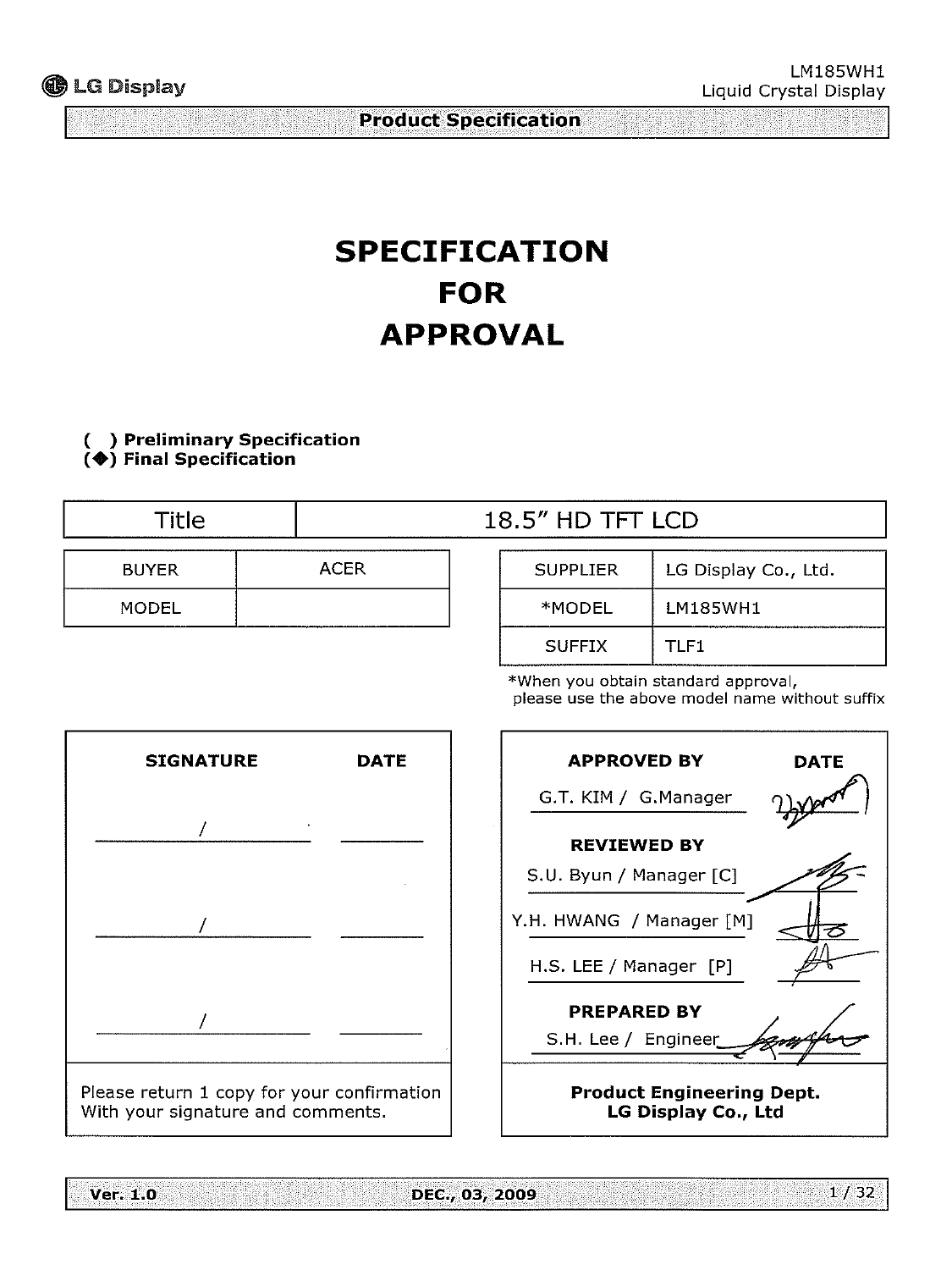# **SPECIFICATION FOR APPROVAL**

**(**◆**) Final Specification**

Title  $18.5''$  HD TFT LCD BUYER MODEL SUPPLIER | LG Display Co., Ltd. \*MODEL LM185WH1 ACER

> \*When you obtain standard approval, please use the above model name without suffix SUFFIX | TLF1





**Product Engineering Dept.**

**Ver. 1.0** 

DEC., 03, 2009

 $1/32$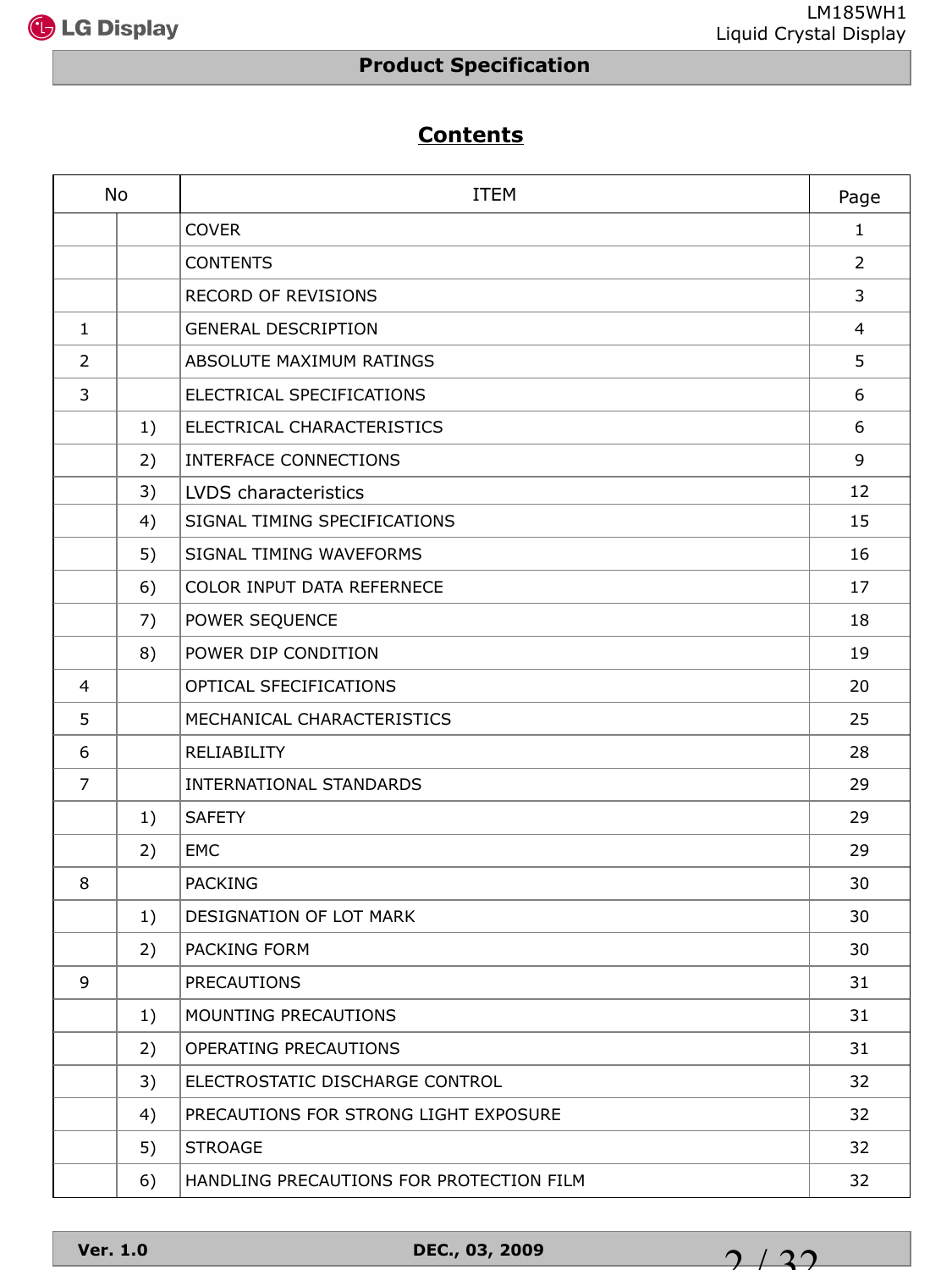

## **Contents**

|                | <b>No</b> | <b>ITEM</b>                              | Page         |
|----------------|-----------|------------------------------------------|--------------|
|                |           | <b>COVER</b>                             | $\mathbf{1}$ |
|                |           | <b>CONTENTS</b>                          | 2            |
|                |           | <b>RECORD OF REVISIONS</b>               | 3            |
| $\mathbf{1}$   |           | <b>GENERAL DESCRIPTION</b>               | 4            |
| 2              |           | ABSOLUTE MAXIMUM RATINGS                 | 5            |
| 3              |           | ELECTRICAL SPECIFICATIONS                | 6            |
|                | 1)        | ELECTRICAL CHARACTERISTICS               | 6            |
|                | 2)        | INTERFACE CONNECTIONS                    | 9            |
|                | 3)        | LVDS characteristics                     | 12           |
|                | 4)        | SIGNAL TIMING SPECIFICATIONS             | 15           |
|                | 5)        | SIGNAL TIMING WAVEFORMS                  | 16           |
|                | 6)        | COLOR INPUT DATA REFERNECE               | 17           |
|                | 7)        | POWER SEQUENCE                           | 18           |
|                | 8)        | POWER DIP CONDITION                      | 19           |
| $\overline{4}$ |           | OPTICAL SFECIFICATIONS                   | 20           |
| 5              |           | MECHANICAL CHARACTERISTICS               | 25           |
| 6              |           | RELIABILITY                              | 28           |
| $\overline{7}$ |           | INTERNATIONAL STANDARDS                  | 29           |
|                | 1)        | <b>SAFETY</b>                            | 29           |
|                | 2)        | EMC                                      | 29           |
| 8              |           | <b>PACKING</b>                           | 30           |
|                | 1)        | DESIGNATION OF LOT MARK                  | 30           |
|                | 2)        | PACKING FORM                             | 30           |
| 9              |           | <b>PRECAUTIONS</b>                       | 31           |
|                | 1)        | MOUNTING PRECAUTIONS                     | 31           |
|                | 2)        | OPERATING PRECAUTIONS                    | 31           |
|                | 3)        | ELECTROSTATIC DISCHARGE CONTROL          | 32           |
|                | 4)        | PRECAUTIONS FOR STRONG LIGHT EXPOSURE    | 32           |
|                | 5)        | <b>STROAGE</b>                           | 32           |
|                | 6)        | HANDLING PRECAUTIONS FOR PROTECTION FILM | 32           |

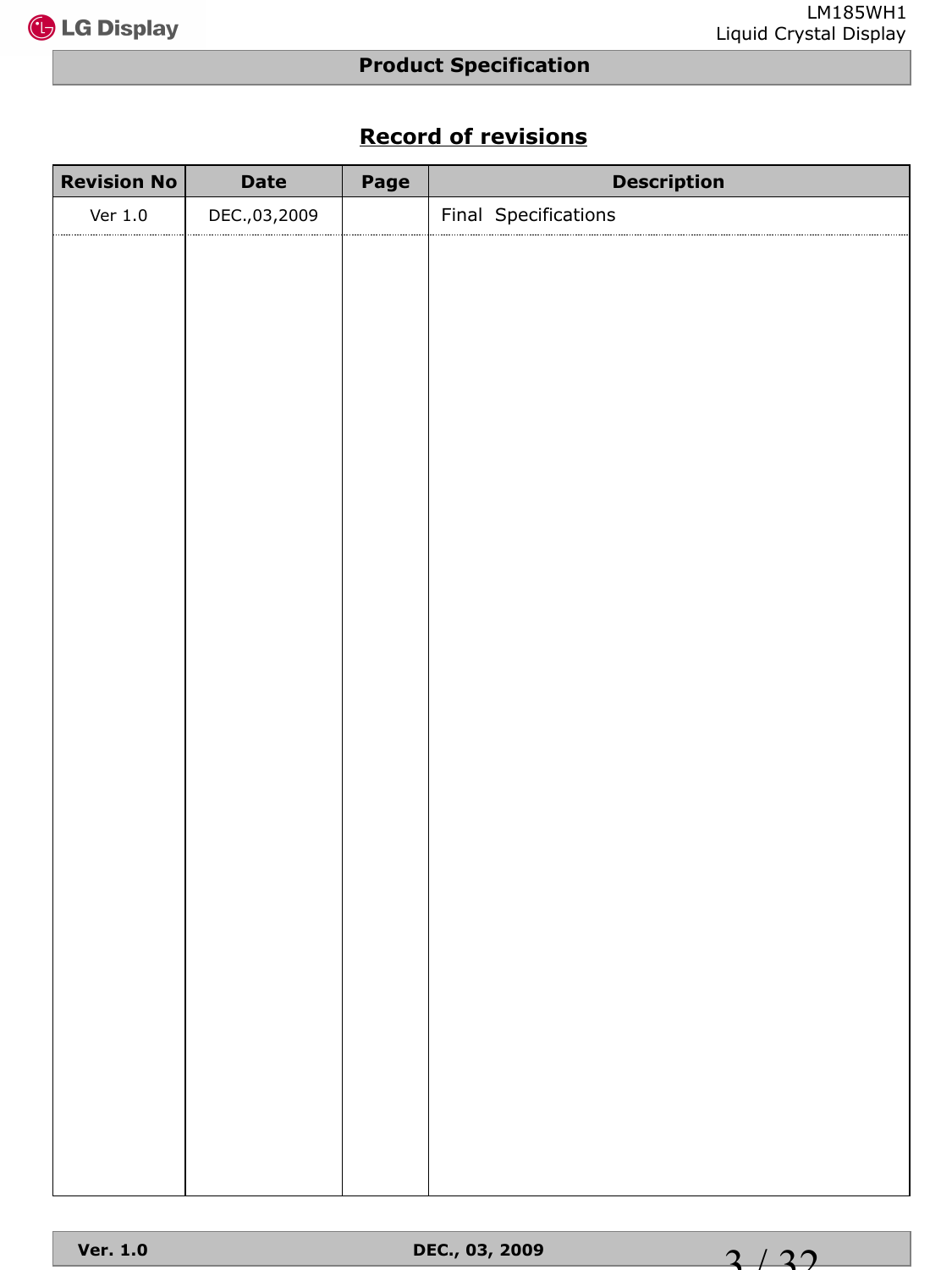

## **Record of revisions**

| <b>Date</b>  | Page | <b>Description</b>   |
|--------------|------|----------------------|
| DEC.,03,2009 |      | Final Specifications |
|              |      |                      |
|              |      |                      |
|              |      |                      |
|              |      |                      |
|              |      |                      |
|              |      |                      |
|              |      |                      |
|              |      |                      |
|              |      |                      |
|              |      |                      |
|              |      |                      |
|              |      |                      |
|              |      |                      |
|              |      |                      |
|              |      |                      |
|              |      |                      |
|              |      |                      |
|              |      |                      |
|              |      |                      |
|              |      |                      |
|              |      |                      |
|              |      |                      |
|              |      |                      |
|              |      |                      |
|              |      |                      |
|              |      |                      |
|              |      |                      |
|              |      |                      |
|              |      |                      |

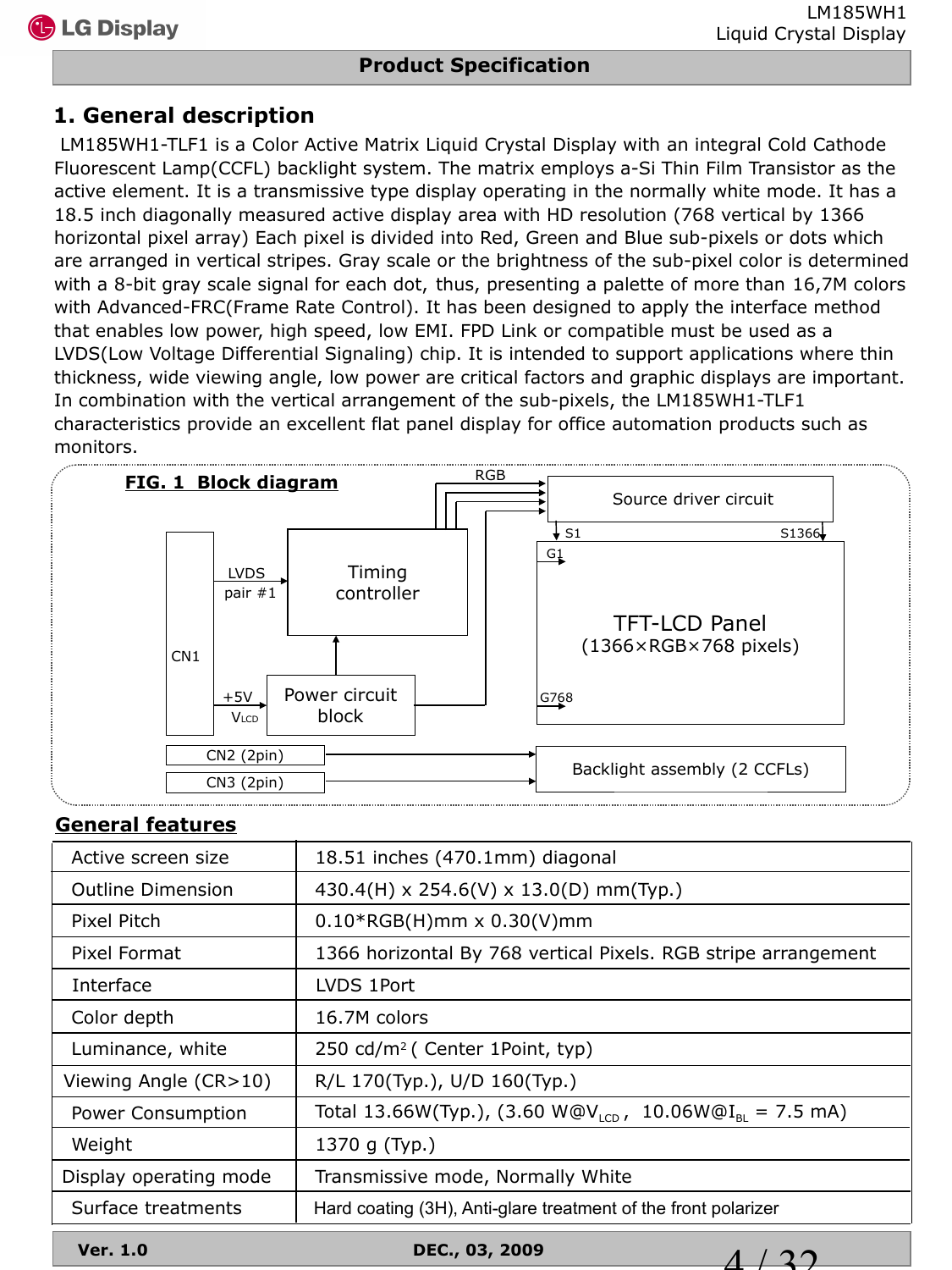### **1. General description**

LM185WH1-TLF1 is a Color Active Matrix Liquid Crystal Display with an integral Cold Cathode Fluorescent Lamp(CCFL) backlight system. The matrix employs a-Si Thin Film Transistor as the active element. It is a transmissive type display operating in the normally white mode. It has a 18.5 inch diagonally measured active display area with HD resolution (768 vertical by 1366 horizontal pixel array) Each pixel is divided into Red, Green and Blue sub-pixels or dots which are arranged in vertical stripes. Gray scale or the brightness of the sub-pixel color is determined with a 8-bit gray scale signal for each dot, thus, presenting a palette of more than 16,7M colors with Advanced-FRC(Frame Rate Control). It has been designed to apply the interface method that enables low power, high speed, low EMI. FPD Link or compatible must be used as a LVDS(Low Voltage Differential Signaling) chip. It is intended to support applications where thin thickness, wide viewing angle, low power are critical factors and graphic displays are important. In combination with the vertical arrangement of the sub-pixels, the LM185WH1-TLF1 characteristics provide an excellent flat panel display for office automation products such as monitors.



#### **General features**

| Active screen size       | 18.51 inches (470.1mm) diagonal                                                 |  |  |  |  |
|--------------------------|---------------------------------------------------------------------------------|--|--|--|--|
| <b>Outline Dimension</b> | 430.4(H) x 254.6(V) x 13.0(D) mm(Typ.)                                          |  |  |  |  |
| Pixel Pitch              | $0.10*RGB(H)$ mm x $0.30(V)$ mm                                                 |  |  |  |  |
| Pixel Format             | 1366 horizontal By 768 vertical Pixels. RGB stripe arrangement                  |  |  |  |  |
| Interface                | LVDS 1Port                                                                      |  |  |  |  |
| Color depth              | 16.7M colors                                                                    |  |  |  |  |
| Luminance, white         | 250 cd/m <sup>2</sup> ( Center 1Point, typ)                                     |  |  |  |  |
| Viewing Angle (CR>10)    | R/L 170(Typ.), U/D 160(Typ.)                                                    |  |  |  |  |
| Power Consumption        | Total 13.66W(Typ.), (3.60 W@V <sub>ICD</sub> , 10.06W@I <sub>BI</sub> = 7.5 mA) |  |  |  |  |
| Weight                   | 1370 g (Typ.)                                                                   |  |  |  |  |
| Display operating mode   | Transmissive mode, Normally White                                               |  |  |  |  |
| Surface treatments       | Hard coating (3H), Anti-glare treatment of the front polarizer                  |  |  |  |  |

**Ver. 1.0 DEC., 03, 2009**

 $1/32$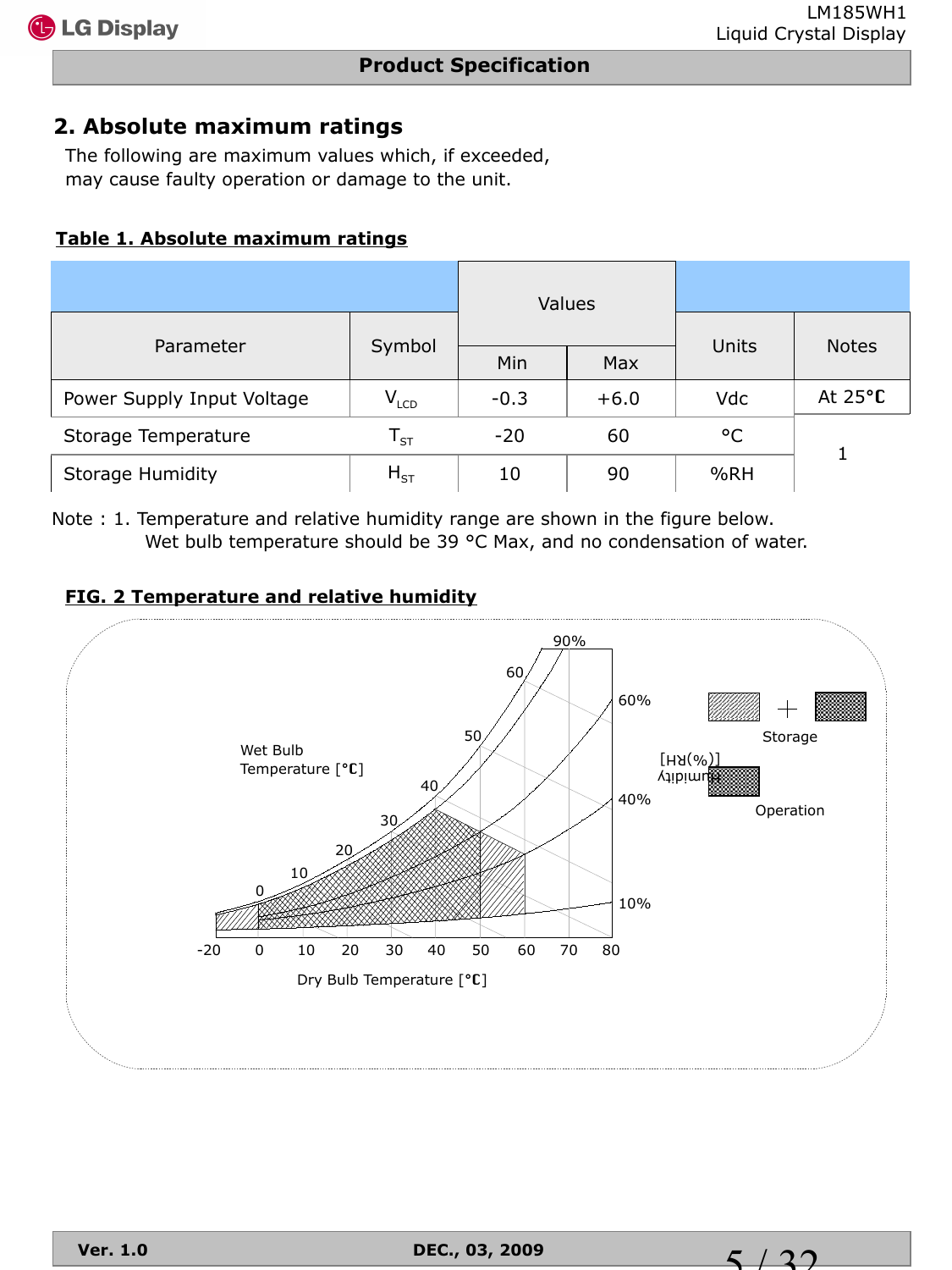### **2. Absolute maximum ratings**

The following are maximum values which, if exceeded, may cause faulty operation or damage to the unit.

#### **Table 1. Absolute maximum ratings**

|                            | <b>Values</b>      |            |        |       |                   |
|----------------------------|--------------------|------------|--------|-------|-------------------|
| Parameter                  | Symbol             | Min<br>Max |        | Units | <b>Notes</b>      |
| Power Supply Input Voltage | $V_{LCD}$          | $-0.3$     | $+6.0$ | Vdc   | At $25^{\circ}$ C |
| Storage Temperature        | ${\sf T}_{\sf ST}$ | $-20$      | 60     | °C    |                   |
| <b>Storage Humidity</b>    | $H_{ST}$           | 10         | 90     | %RH   |                   |

Note : 1. Temperature and relative humidity range are shown in the figure below. Wet bulb temperature should be 39 °C Max, and no condensation of water.

#### **FIG. 2 Temperature and relative humidity**



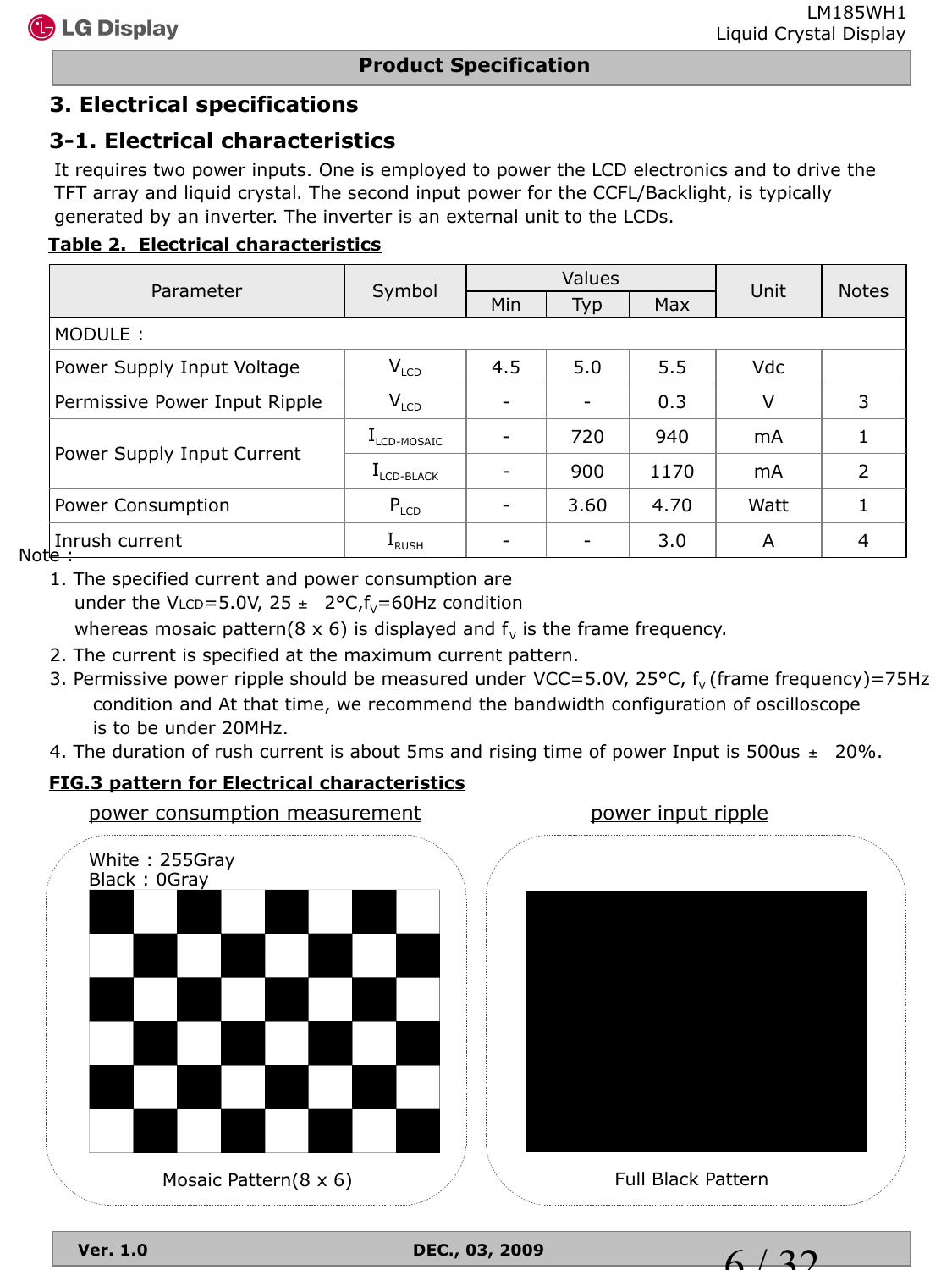## **3. Electrical specifications**

## **3-1. Electrical characteristics**

It requires two power inputs. One is employed to power the LCD electronics and to drive the TFT array and liquid crystal. The second input power for the CCFL/Backlight, is typically generated by an inverter. The inverter is an external unit to the LCDs.

#### **Table 2. Electrical characteristics**

|                                     |                                 |     | Values                   |      |            |               |  |
|-------------------------------------|---------------------------------|-----|--------------------------|------|------------|---------------|--|
| Parameter                           | Symbol                          | Min | Typ                      | Max  | Unit       | <b>Notes</b>  |  |
| MODULE:                             |                                 |     |                          |      |            |               |  |
| Power Supply Input Voltage          | $V_{LCD}$                       | 4.5 | 5.0                      | 5.5  | <b>Vdc</b> |               |  |
| Permissive Power Input Ripple       | $V_{LCD}$                       |     | $\overline{\phantom{0}}$ | 0.3  | V          | 3             |  |
|                                     | $\rm I_{\rm LCD\text{-}MOSAIC}$ |     | 720                      | 940  | mA         |               |  |
| Power Supply Input Current          | L <sub>LCD-BLACK</sub>          |     | 900                      | 1170 | mA         | $\mathcal{P}$ |  |
| Power Consumption                   | $P_{LCD}$                       |     | 3.60                     | 4.70 | Watt       |               |  |
| Inrush current<br>. م <del>ار</del> | <b>L</b> RUSH                   |     |                          | 3.0  | A          | 4             |  |

Note:

 1. The specified current and power consumption are under the VLCD=5.0V,  $25 \pm 2$ °C, $f_v$ =60Hz condition

whereas mosaic pattern( $8 \times 6$ ) is displayed and  $f_v$  is the frame frequency.

- 2. The current is specified at the maximum current pattern.
- 3. Permissive power ripple should be measured under VCC=5.0V, 25 $\textdegree$ C,  $f_v$  (frame frequency)=75Hz condition and At that time, we recommend the bandwidth configuration of oscilloscope is to be under 20MHz.
- 4. The duration of rush current is about 5ms and rising time of power Input is 500us  $\pm$  20%.

#### **FIG.3 pattern for Electrical characteristics**



**Ver. 1.0 DEC., 03, 2009**

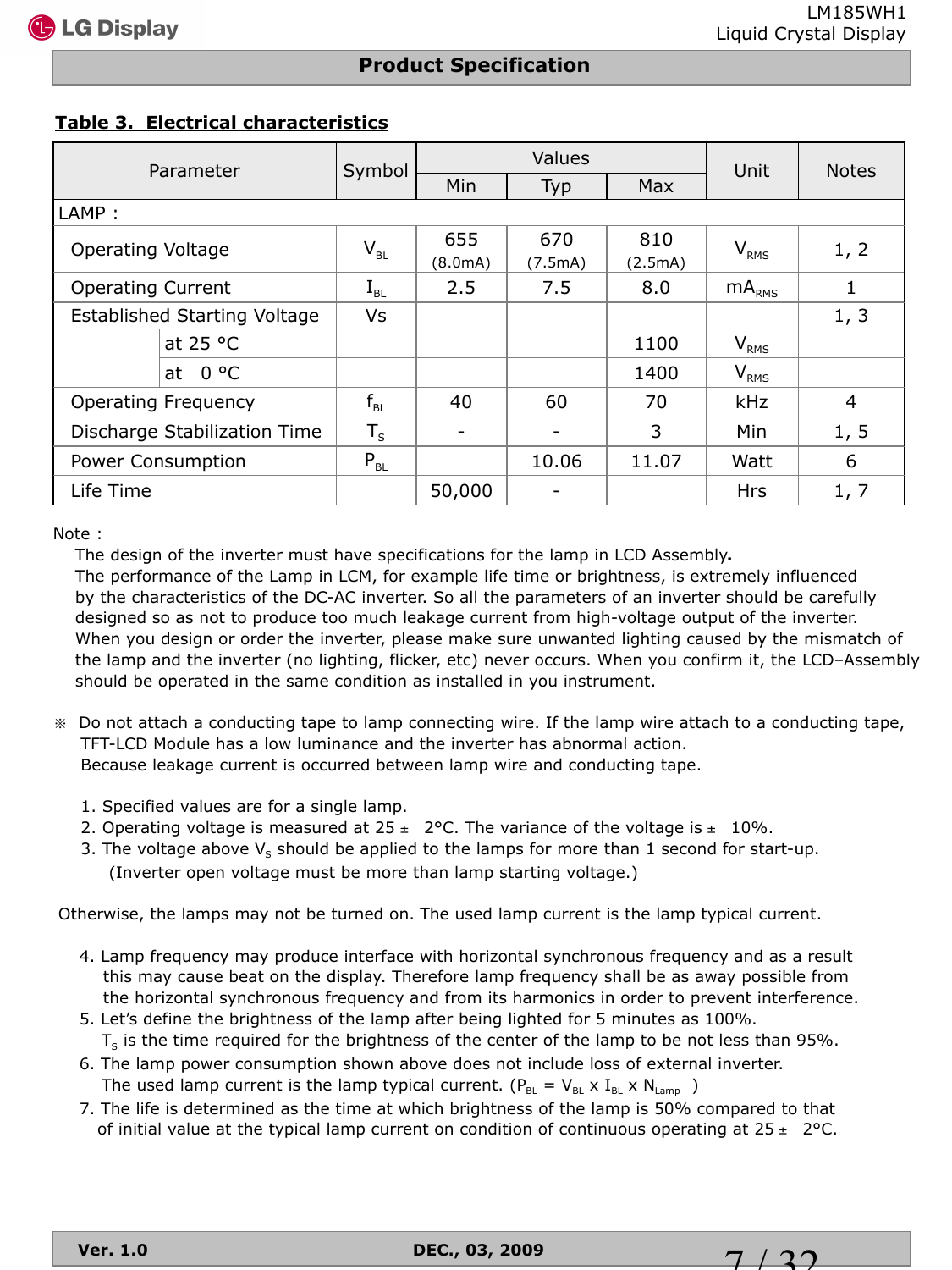$7/32$ 

#### **Product Specification**

#### **Table 3. Electrical characteristics**

| Parameter                           |                                                | Values<br>Symbol |         |         | Unit             | <b>Notes</b>   |  |
|-------------------------------------|------------------------------------------------|------------------|---------|---------|------------------|----------------|--|
|                                     |                                                | Min              | Typ     | Max     |                  |                |  |
| LAMP:                               |                                                |                  |         |         |                  |                |  |
| <b>Operating Voltage</b>            | $\mathsf{V}_{\scriptscriptstyle{\mathsf{BL}}}$ | 655              | 670     | 810     | $V_{RMS}$        | 1, 2           |  |
|                                     |                                                | (8.0mA)          | (7.5mA) | (2.5mA) |                  |                |  |
| <b>Operating Current</b>            | $I_{BL}$                                       | 2.5              | 7.5     | 8.0     | $mA_{RMS}$       | 1              |  |
| <b>Established Starting Voltage</b> | Vs                                             |                  |         |         |                  | 1, 3           |  |
| at $25 °C$                          |                                                |                  |         | 1100    | $V_{RMS}$        |                |  |
| 0 °C<br>at                          |                                                |                  |         | 1400    | V <sub>RMS</sub> |                |  |
| <b>Operating Frequency</b>          | $f_{BL}$                                       | 40               | 60      | 70      | kHz              | $\overline{4}$ |  |
| Discharge Stabilization Time        | $T_S$                                          |                  | ۰       | 3       | Min              | 1, 5           |  |
| Power Consumption                   | $P_{BL}$                                       |                  | 10.06   | 11.07   | Watt             | 6              |  |
| Life Time                           |                                                | 50,000           |         |         | <b>Hrs</b>       | 1, 7           |  |

Note :

The design of the inverter must have specifications for the lamp in LCD Assembly**.**

 The performance of the Lamp in LCM, for example life time or brightness, is extremely influenced by the characteristics of the DC-AC inverter. So all the parameters of an inverter should be carefully designed so as not to produce too much leakage current from high-voltage output of the inverter. When you design or order the inverter, please make sure unwanted lighting caused by the mismatch of the lamp and the inverter (no lighting, flicker, etc) never occurs. When you confirm it, the LCD–Assembly should be operated in the same condition as installed in you instrument.

- ※ Do not attach a conducting tape to lamp connecting wire. If the lamp wire attach to a conducting tape, TFT-LCD Module has a low luminance and the inverter has abnormal action. Because leakage current is occurred between lamp wire and conducting tape.
	- 1. Specified values are for a single lamp.
	- 2. Operating voltage is measured at  $25 \pm 2$ °C. The variance of the voltage is  $\pm 10\%$ .
	- 3. The voltage above  $V_s$  should be applied to the lamps for more than 1 second for start-up. (Inverter open voltage must be more than lamp starting voltage.)

Otherwise, the lamps may not be turned on. The used lamp current is the lamp typical current.

- 4. Lamp frequency may produce interface with horizontal synchronous frequency and as a result this may cause beat on the display. Therefore lamp frequency shall be as away possible from the horizontal synchronous frequency and from its harmonics in order to prevent interference.
- 5. Let's define the brightness of the lamp after being lighted for 5 minutes as 100%.  $T<sub>S</sub>$  is the time required for the brightness of the center of the lamp to be not less than 95%.
- 6. The lamp power consumption shown above does not include loss of external inverter. The used lamp current is the lamp typical current. ( $P_{BL} = V_{BL} \times I_{BL} \times N_{Lamp}$ )
- 7. The life is determined as the time at which brightness of the lamp is 50% compared to that of initial value at the typical lamp current on condition of continuous operating at  $25 \pm 2$  °C.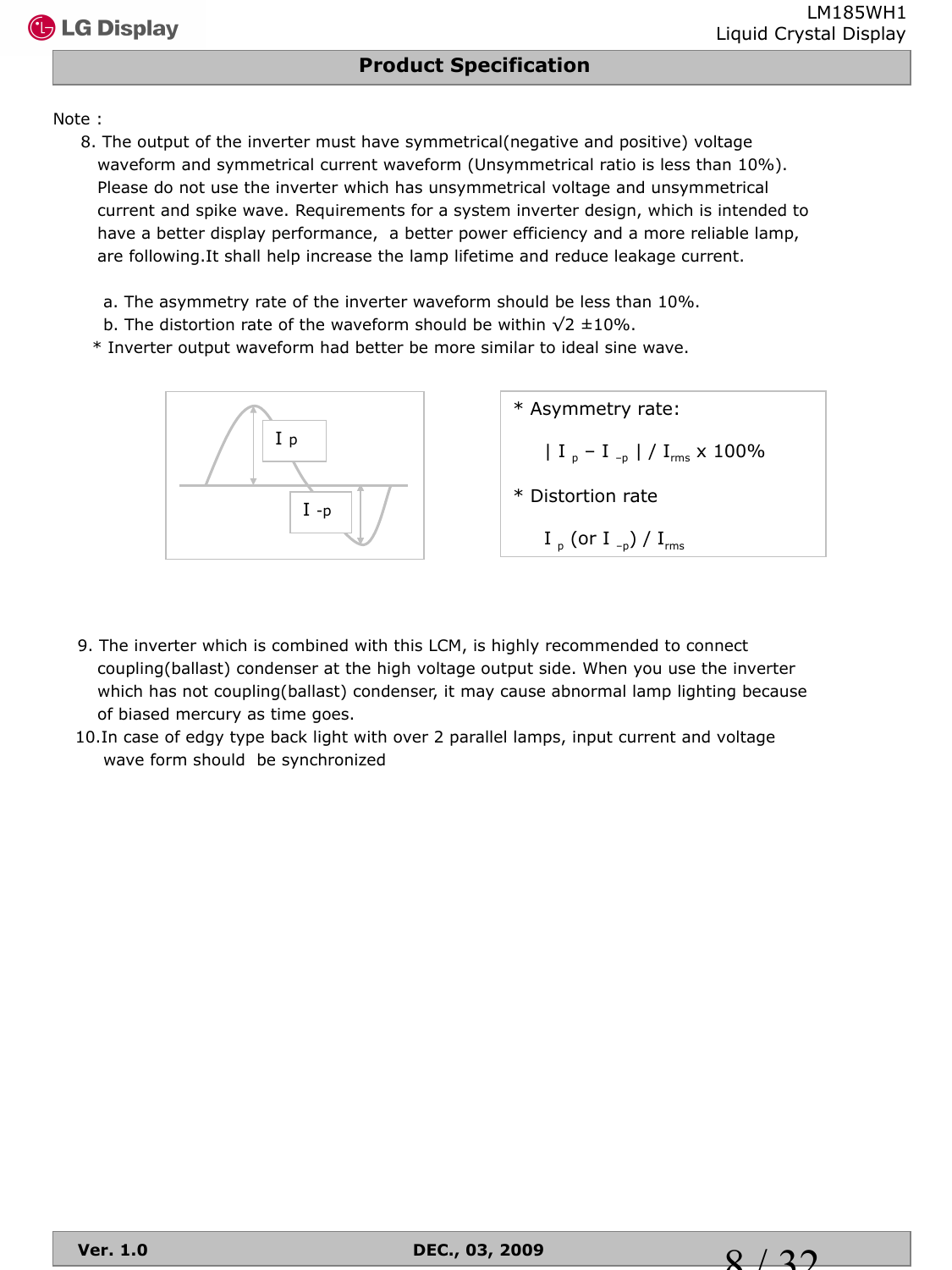#### Note :

- 8. The output of the inverter must have symmetrical(negative and positive) voltage waveform and symmetrical current waveform (Unsymmetrical ratio is less than 10%). Please do not use the inverter which has unsymmetrical voltage and unsymmetrical current and spike wave. Requirements for a system inverter design, which is intended to have a better display performance, a better power efficiency and a more reliable lamp, are following.It shall help increase the lamp lifetime and reduce leakage current.
	- a. The asymmetry rate of the inverter waveform should be less than 10%.
	- b. The distortion rate of the waveform should be within  $\sqrt{2} \pm 10\%$ .
	- \* Inverter output waveform had better be more similar to ideal sine wave.



| * Asymmetry rate:                                                      |
|------------------------------------------------------------------------|
| $\begin{bmatrix} I_{p} - I_{p} \end{bmatrix}$ / $I_{rms} \times 100\%$ |
| * Distortion rate                                                      |
| I <sub>p</sub> (or I <sub>-p</sub> ) / I <sub>rms</sub>                |

- 9. The inverter which is combined with this LCM, is highly recommended to connect coupling(ballast) condenser at the high voltage output side. When you use the inverter which has not coupling(ballast) condenser, it may cause abnormal lamp lighting because of biased mercury as time goes.
- 10.In case of edgy type back light with over 2 parallel lamps, input current and voltage wave form should be synchronized

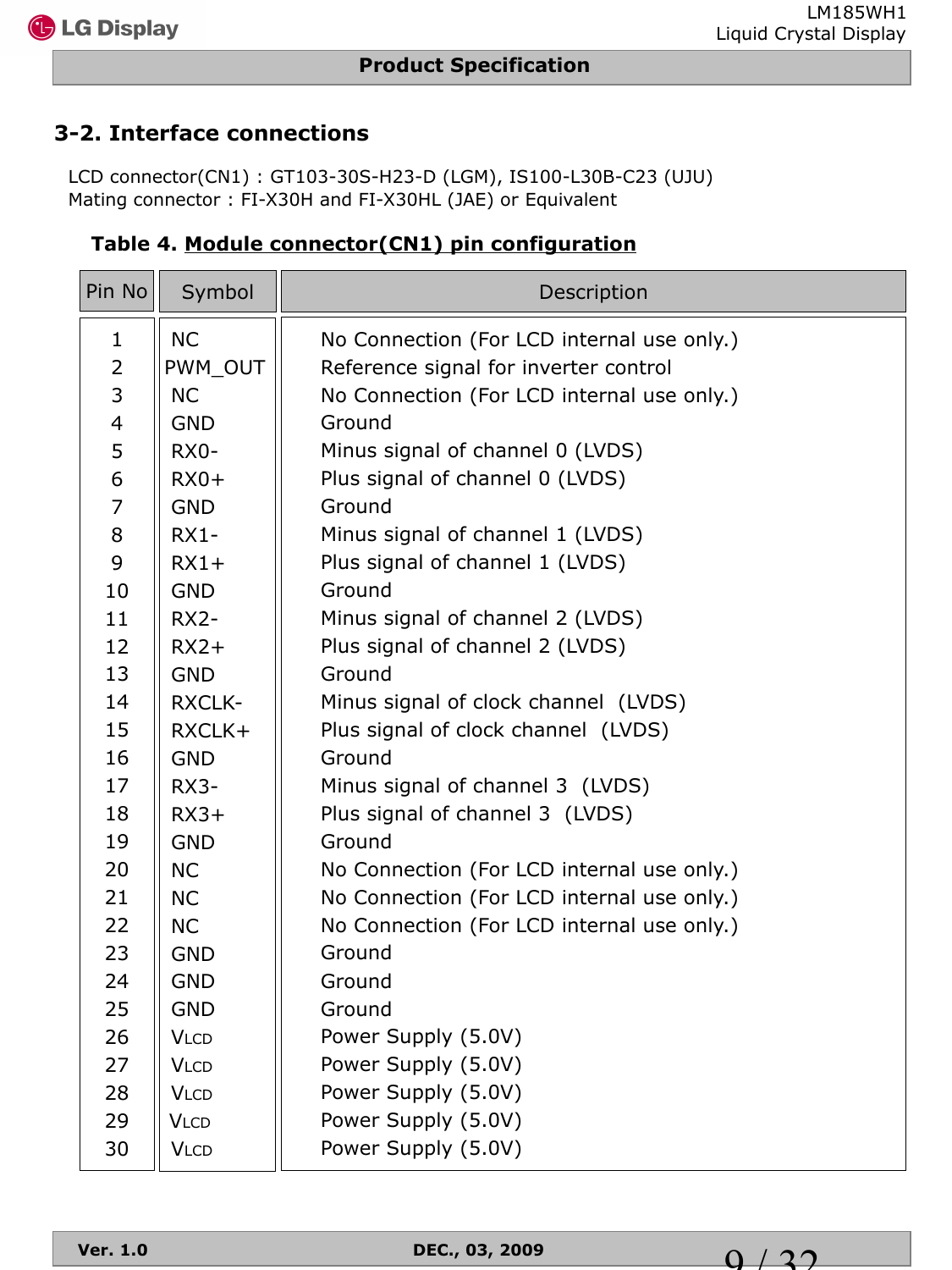## **3-2. Interface connections**

LCD connector(CN1) : GT103-30S-H23-D (LGM), IS100-L30B-C23 (UJU) Mating connector : FI-X30H and FI-X30HL (JAE) or Equivalent

| Pin No         | Symbol        | Description                                |
|----------------|---------------|--------------------------------------------|
| $\mathbf{1}$   | <b>NC</b>     | No Connection (For LCD internal use only.) |
| $\overline{2}$ | PWM_OUT       | Reference signal for inverter control      |
| 3              | <b>NC</b>     | No Connection (For LCD internal use only.) |
| $\overline{4}$ | <b>GND</b>    | Ground                                     |
| 5              | $RX0-$        | Minus signal of channel 0 (LVDS)           |
| 6              | $RX0+$        | Plus signal of channel 0 (LVDS)            |
| $\overline{7}$ | <b>GND</b>    | Ground                                     |
| 8              | $RX1 -$       | Minus signal of channel 1 (LVDS)           |
| 9              | $RX1+$        | Plus signal of channel 1 (LVDS)            |
| 10             | <b>GND</b>    | Ground                                     |
| 11             | $RX2-$        | Minus signal of channel 2 (LVDS)           |
| 12             | $RX2+$        | Plus signal of channel 2 (LVDS)            |
| 13             | <b>GND</b>    | Ground                                     |
| 14             | <b>RXCLK-</b> | Minus signal of clock channel (LVDS)       |
| 15             | RXCLK+        | Plus signal of clock channel (LVDS)        |
| 16             | <b>GND</b>    | Ground                                     |
| 17             | RX3-          | Minus signal of channel 3 (LVDS)           |
| 18             | $RX3+$        | Plus signal of channel 3 (LVDS)            |
| 19             | <b>GND</b>    | Ground                                     |
| 20             | <b>NC</b>     | No Connection (For LCD internal use only.) |
| 21             | <b>NC</b>     | No Connection (For LCD internal use only.) |
| 22             | <b>NC</b>     | No Connection (For LCD internal use only.) |
| 23             | <b>GND</b>    | Ground                                     |
| 24             | <b>GND</b>    | Ground                                     |
| 25             | <b>GND</b>    | Ground                                     |
| 26             | <b>VLCD</b>   | Power Supply (5.0V)                        |
| 27             | <b>VLCD</b>   | Power Supply (5.0V)                        |
| 28             | <b>VLCD</b>   | Power Supply (5.0V)                        |
| 29             | <b>VLCD</b>   | Power Supply (5.0V)                        |
| 30             | <b>VLCD</b>   | Power Supply (5.0V)                        |

 **Table 4. Module connector(CN1) pin configuration**

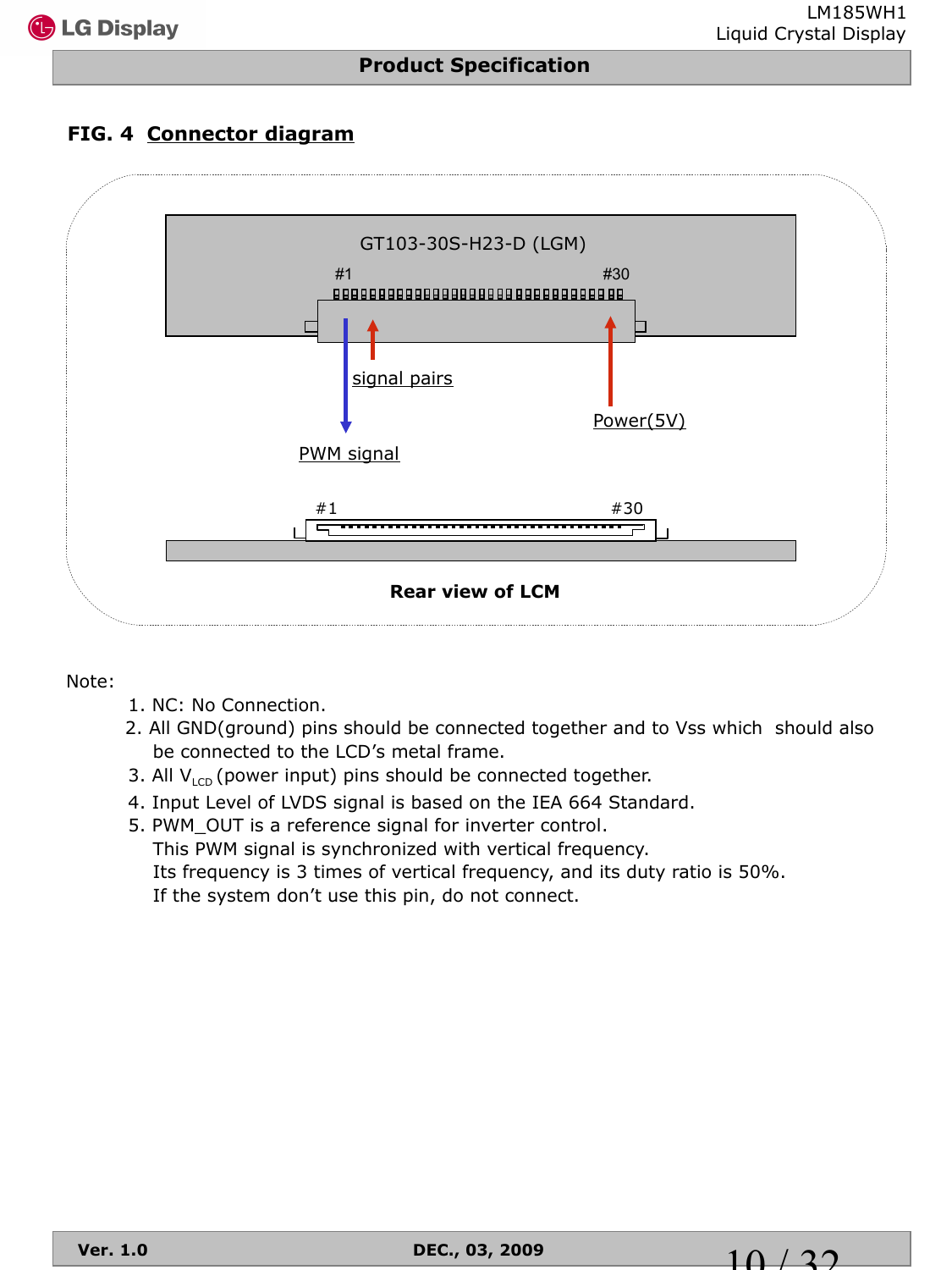## **FIG. 4 Connector diagram**



#### Note:

- 1. NC: No Connection.
- 2. All GND(ground) pins should be connected together and to Vss which should also be connected to the LCD's metal frame.
- 3. All  $V_{\text{LCD}}$  (power input) pins should be connected together.
- 4. Input Level of LVDS signal is based on the IEA 664 Standard.
- 5. PWM\_OUT is a reference signal for inverter control. This PWM signal is synchronized with vertical frequency. Its frequency is 3 times of vertical frequency, and its duty ratio is 50%. If the system don't use this pin, do not connect.

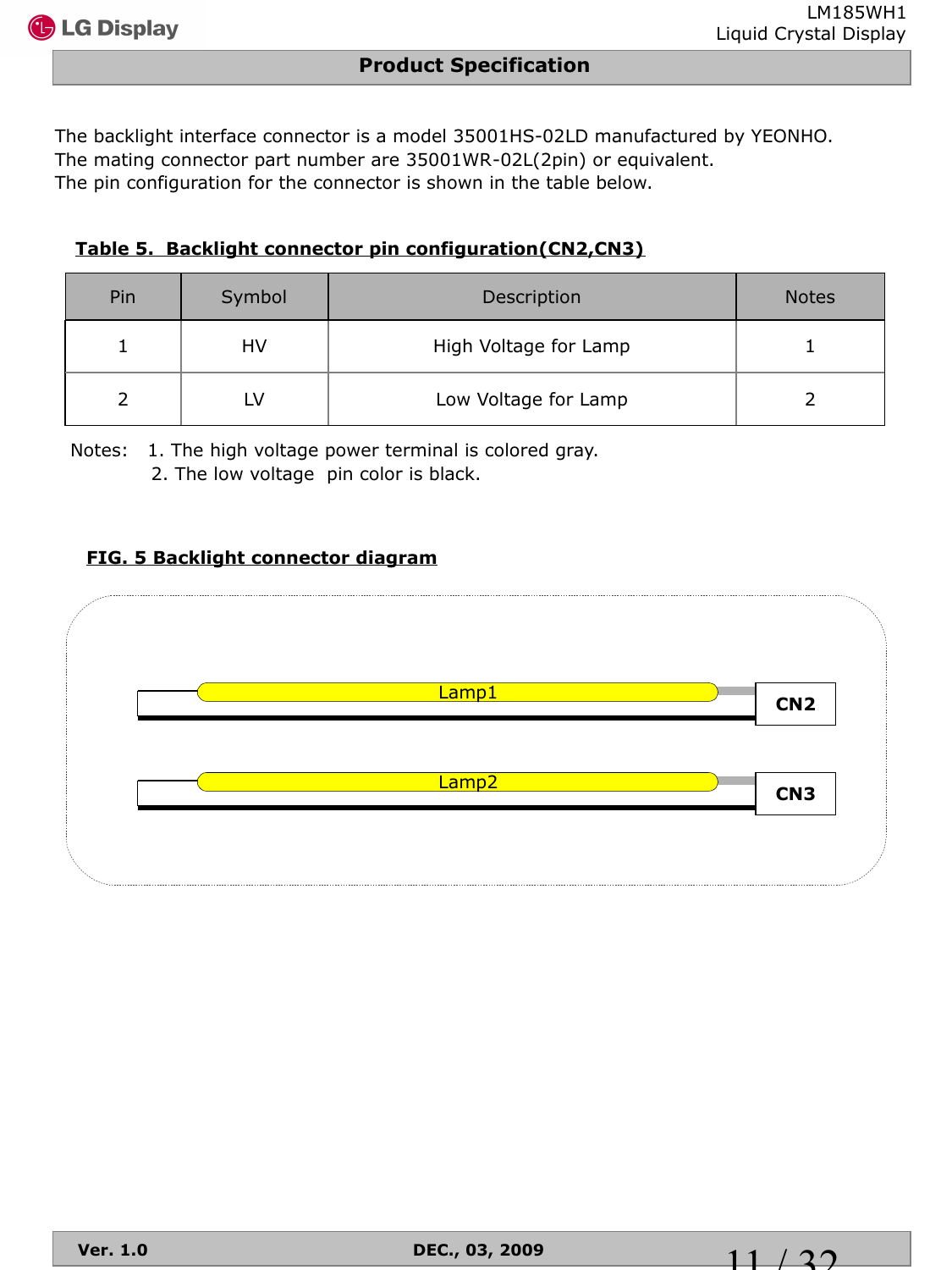The backlight interface connector is a model 35001HS-02LD manufactured by YEONHO. The mating connector part number are 35001WR-02L(2pin) or equivalent. The pin configuration for the connector is shown in the table below.

#### **Table 5. Backlight connector pin configuration(CN2,CN3)**

| Pin | Symbol | Description           | <b>Notes</b> |
|-----|--------|-----------------------|--------------|
|     | HV     | High Voltage for Lamp |              |
|     |        | Low Voltage for Lamp  |              |

Notes: 1. The high voltage power terminal is colored gray.

2. The low voltage pin color is black.

#### **FIG. 5 Backlight connector diagram**

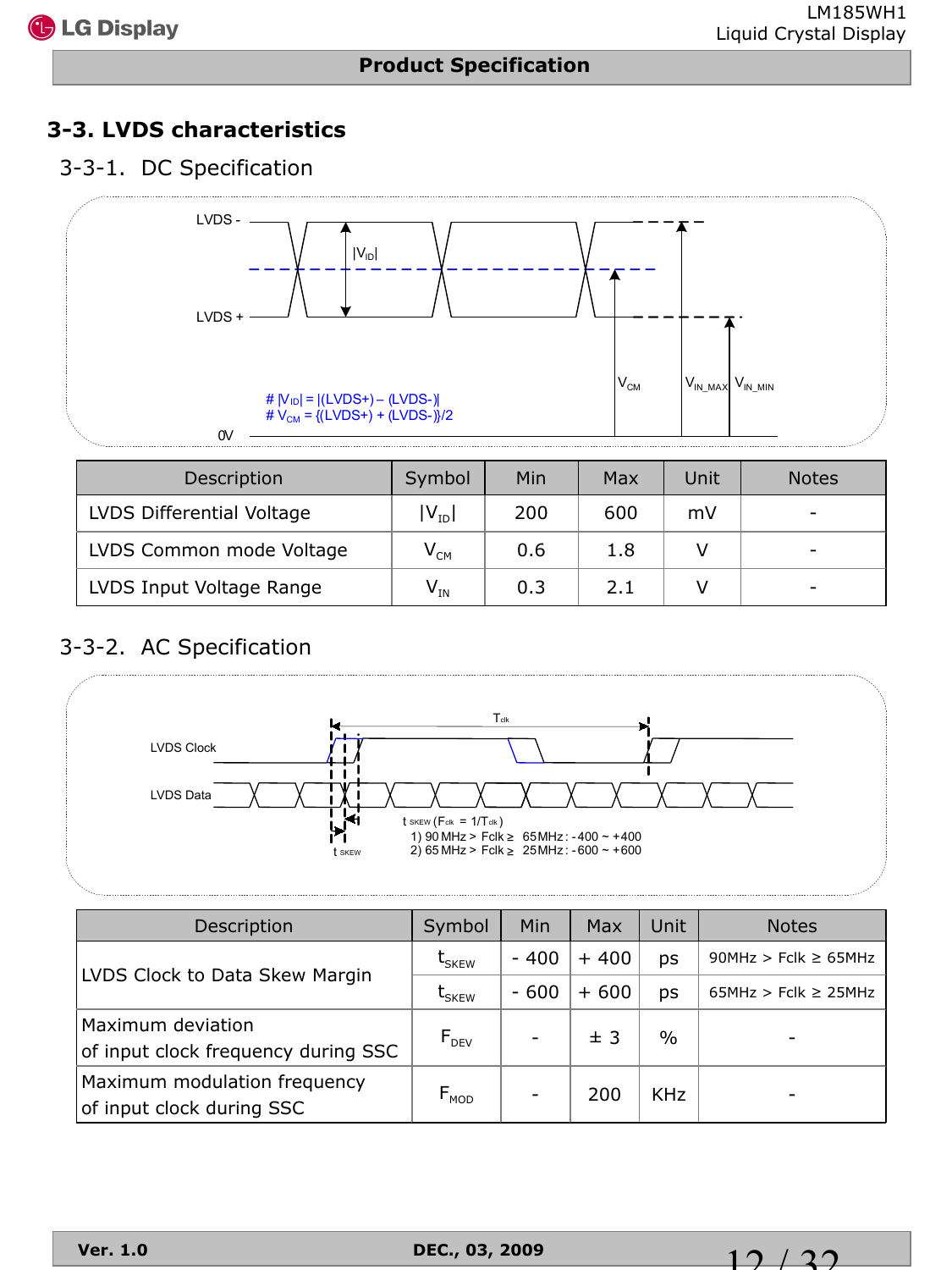## **3-3. LVDS characteristics**

#### 3-3-1. DC Specification



| Description               | Symbol                     | Min | Max | Unit | <b>Notes</b> |
|---------------------------|----------------------------|-----|-----|------|--------------|
| LVDS Differential Voltage | $V_{ID}$                   | 200 | 600 | mV   |              |
| LVDS Common mode Voltage  | $\mathsf{V}_{\mathsf{CM}}$ | 0.6 | 1.8 |      |              |
| LVDS Input Voltage Range  | $V_{IN}$                   | 0.3 | 2.1 |      | -            |

## 3-3-2. AC Specification



| Description                                               | Symbol                      | Min    | Max    | Unit       | <b>Notes</b>              |
|-----------------------------------------------------------|-----------------------------|--------|--------|------------|---------------------------|
| LVDS Clock to Data Skew Margin                            | $t_{SKEW}$                  | $-400$ | $+400$ | ps         | 90MHz > Fclk $\geq$ 65MHz |
|                                                           | $t_{SKEW}$                  | $-600$ | $+600$ | DS         | $65MHz > Fclk \ge 25MHz$  |
| Maximum deviation<br>of input clock frequency during SSC  | $F_{DEV}$                   |        | ± 3    | $\%$       |                           |
| Maximum modulation frequency<br>of input clock during SSC | $\mathsf{F}_{\mathsf{MOD}}$ | -      | 200    | <b>KHz</b> |                           |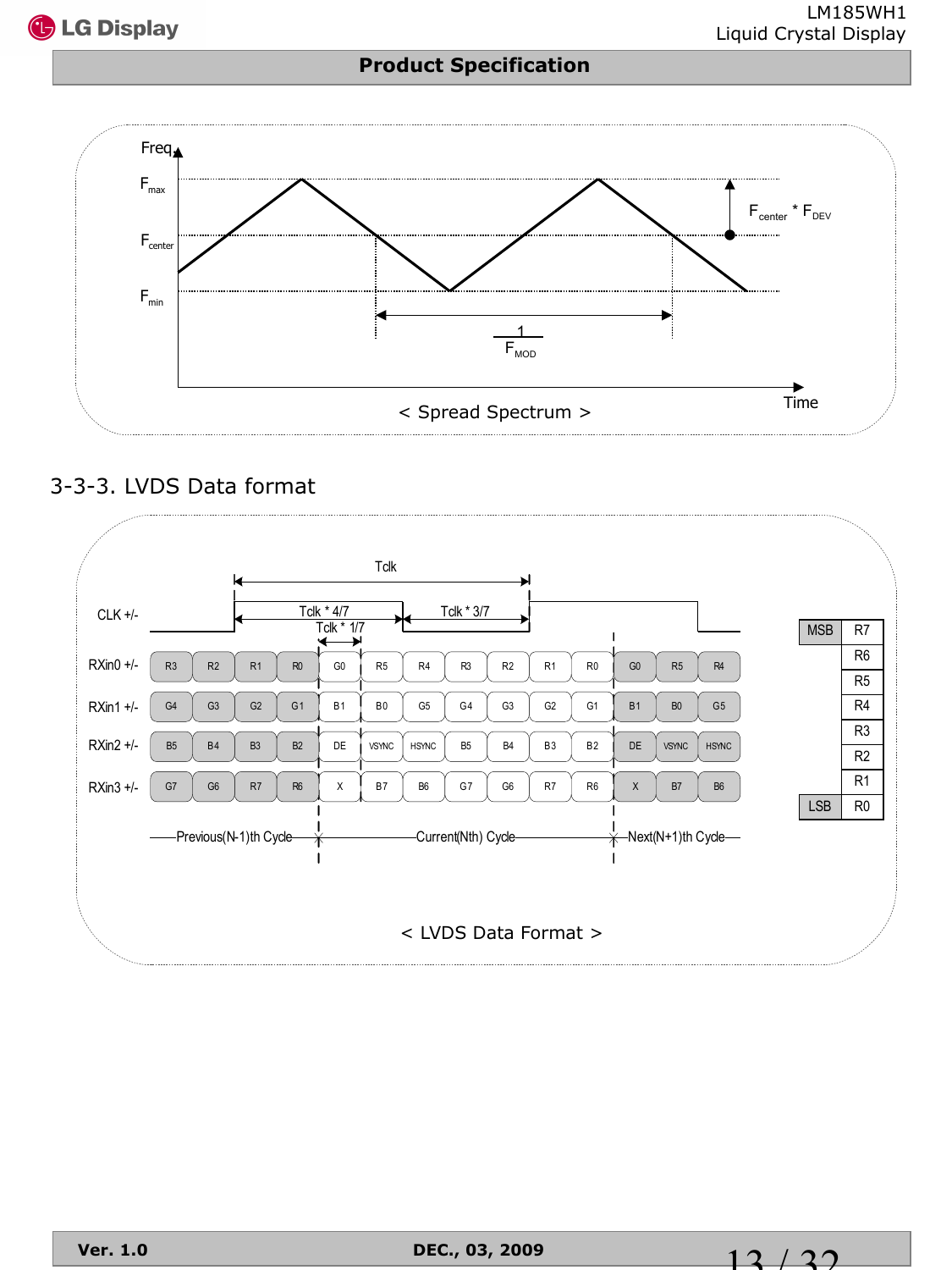



## 3-3-3. LVDS Data format



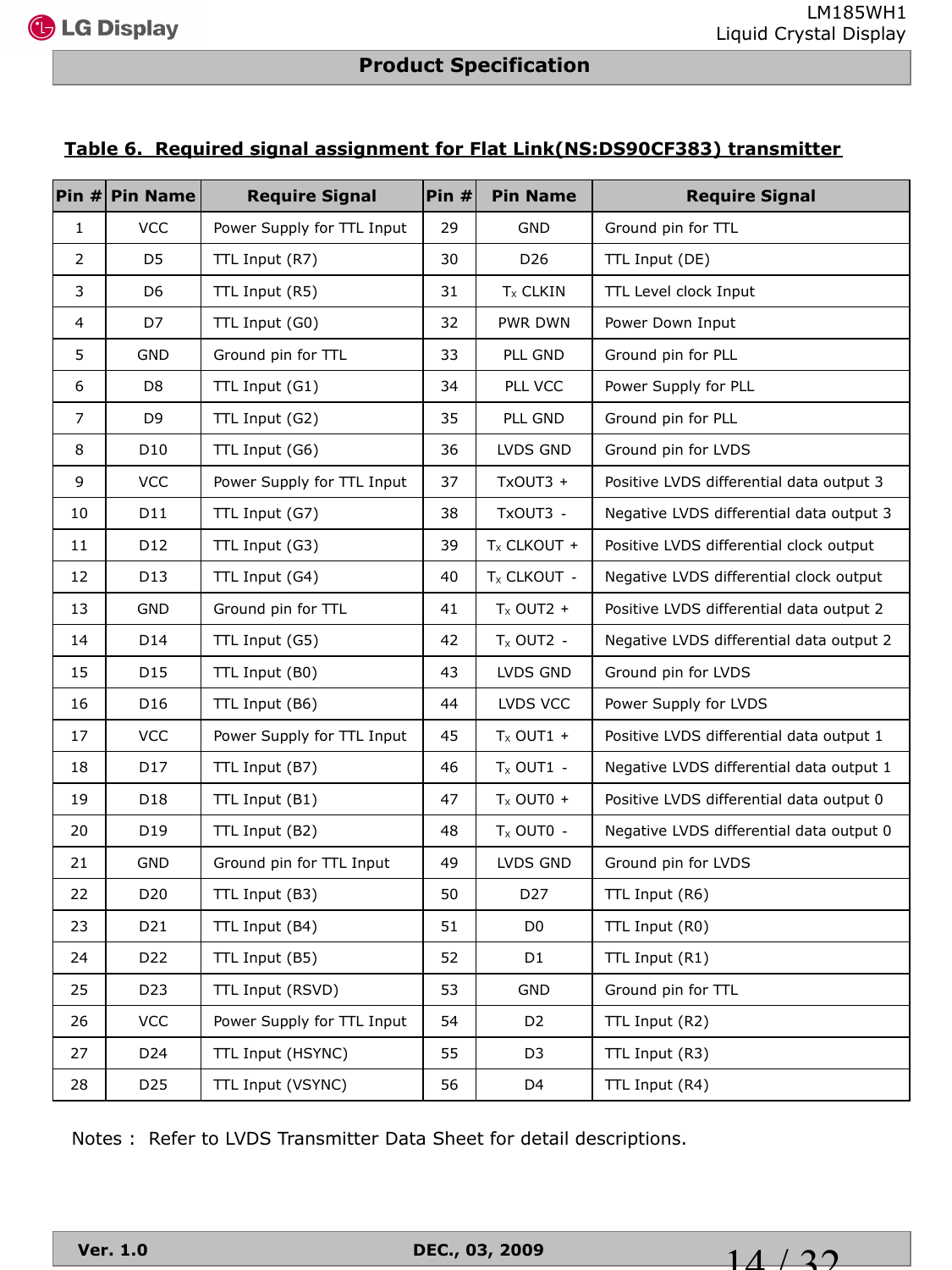#### **Table 6. Required signal assignment for Flat Link(NS:DS90CF383) transmitter**

| Pin #          | <b>Pin Name</b> | <b>Require Signal</b>      | Pin $#$ | <b>Pin Name</b> | <b>Require Signal</b>                    |
|----------------|-----------------|----------------------------|---------|-----------------|------------------------------------------|
| $\mathbf{1}$   | <b>VCC</b>      | Power Supply for TTL Input | 29      | <b>GND</b>      | Ground pin for TTL                       |
| $\overline{2}$ | D <sub>5</sub>  | TTL Input (R7)             | 30      | D <sub>26</sub> | TTL Input (DE)                           |
| $\mathsf{3}$   | D <sub>6</sub>  | TTL Input (R5)             | 31      | $Tx$ CLKIN      | TTL Level clock Input                    |
| 4              | D7              | TTL Input (G0)             | 32      | PWR DWN         | Power Down Input                         |
| 5              | <b>GND</b>      | Ground pin for TTL         | 33      | PLL GND         | Ground pin for PLL                       |
| 6              | D <sub>8</sub>  | TTL Input (G1)             | 34      | PLL VCC         | Power Supply for PLL                     |
| $\overline{7}$ | D <sub>9</sub>  | TTL Input (G2)             | 35      | PLL GND         | Ground pin for PLL                       |
| 8              | D10             | TTL Input (G6)             | 36      | LVDS GND        | Ground pin for LVDS                      |
| 9              | <b>VCC</b>      | Power Supply for TTL Input | 37      | TxOUT3 +        | Positive LVDS differential data output 3 |
| 10             | D11             | TTL Input (G7)             | 38      | TxOUT3 -        | Negative LVDS differential data output 3 |
| 11             | D12             | TTL Input (G3)             | 39      | $T_x$ CLKOUT +  | Positive LVDS differential clock output  |
| 12             | D13             | TTL Input (G4)             | 40      | $T_x$ CLKOUT -  | Negative LVDS differential clock output  |
| 13             | <b>GND</b>      | Ground pin for TTL         | 41      | $T_x$ OUT2 +    | Positive LVDS differential data output 2 |
| 14             | D14             | TTL Input (G5)             | 42      | $T_x$ OUT2 -    | Negative LVDS differential data output 2 |
| 15             | D <sub>15</sub> | TTL Input (B0)             | 43      | LVDS GND        | Ground pin for LVDS                      |
| 16             | D16             | TTL Input (B6)             | 44      | LVDS VCC        | Power Supply for LVDS                    |
| 17             | <b>VCC</b>      | Power Supply for TTL Input | 45      | $T_x$ OUT1 +    | Positive LVDS differential data output 1 |
| 18             | D17             | TTL Input (B7)             | 46      | $T_x$ OUT1 -    | Negative LVDS differential data output 1 |
| 19             | D18             | TTL Input (B1)             | 47      | $T_x$ OUT0 +    | Positive LVDS differential data output 0 |
| 20             | D19             | TTL Input (B2)             | 48      | $T_x$ OUT0 -    | Negative LVDS differential data output 0 |
| 21             | <b>GND</b>      | Ground pin for TTL Input   | 49      | LVDS GND        | Ground pin for LVDS                      |
| 22             | D <sub>20</sub> | TTL Input (B3)             | 50      | D27             | TTL Input (R6)                           |
| 23             | D21             | TTL Input (B4)             | 51      | D <sub>0</sub>  | TTL Input (R0)                           |
| 24             | D <sub>22</sub> | TTL Input (B5)             | 52      | D1              | TTL Input (R1)                           |
| 25             | D23             | TTL Input (RSVD)           | 53      | GND             | Ground pin for TTL                       |
| 26             | VCC             | Power Supply for TTL Input | 54      | D <sub>2</sub>  | TTL Input (R2)                           |
| 27             | D24             | TTL Input (HSYNC)          | 55      | D <sub>3</sub>  | TTL Input (R3)                           |
| 28             | D <sub>25</sub> | TTL Input (VSYNC)          | 56      | D <sub>4</sub>  | TTL Input (R4)                           |

Notes : Refer to LVDS Transmitter Data Sheet for detail descriptions.

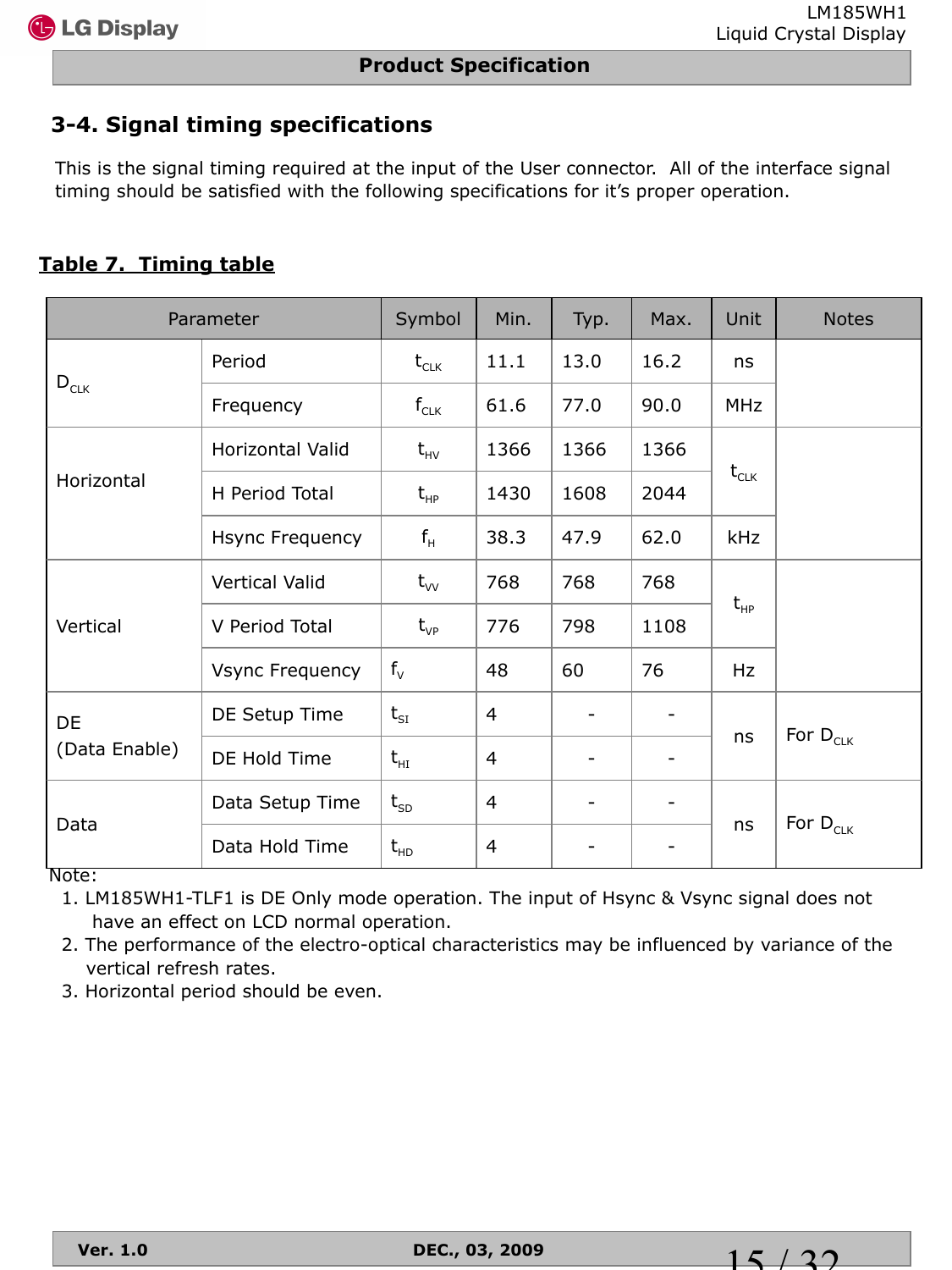## **3-4. Signal timing specifications**

This is the signal timing required at the input of the User connector. All of the interface signal timing should be satisfied with the following specifications for it's proper operation.

## **Table 7. Timing table**

|               | Parameter              | Symbol                         | Min.           | Typ.                     | Max.                     | Unit       | <b>Notes</b>  |  |
|---------------|------------------------|--------------------------------|----------------|--------------------------|--------------------------|------------|---------------|--|
|               | Period                 | $t_{CLK}$                      | 11.1           | 13.0                     | 16.2                     | ns         |               |  |
| $D_{CLK}$     | Frequency              | $f_{CLK}$                      | 61.6           | 77.0                     | 90.0                     | <b>MHz</b> |               |  |
|               | Horizontal Valid       | $t_{HV}$                       | 1366           | 1366                     | 1366                     |            |               |  |
| Horizontal    | H Period Total         | $t_{HP}$                       | 1430           | 1608                     | 2044                     | $t_{CLK}$  |               |  |
|               | Hsync Frequency        | $f_H$                          | 38.3           | 47.9                     | 62.0                     | kHz        |               |  |
|               | Vertical Valid         | $t_{vv}$                       | 768            | 768                      | 768                      |            |               |  |
| Vertical      | V Period Total         | $t_{VP}$                       | 776            | 798                      | 1108                     | $t_{HP}$   |               |  |
|               | <b>Vsync Frequency</b> | $f_v$                          | 48             | 60                       | 76                       | Hz         |               |  |
| DE            | DE Setup Time          | $t_{\rm SI}$                   | 4              | $\overline{\phantom{a}}$ |                          |            |               |  |
| (Data Enable) | DE Hold Time           | $t_{\scriptscriptstyle\rm HI}$ | 4              | -                        | $\overline{\phantom{0}}$ | ns         | For $D_{CLK}$ |  |
| Data          | Data Setup Time        | $t_{SD}$                       | $\overline{4}$ | $\overline{\phantom{a}}$ |                          |            |               |  |
|               | Data Hold Time         | $t_{HD}$                       | 4              |                          | -                        | ns         | For $D_{CLK}$ |  |

Note:

 1. LM185WH1-TLF1 is DE Only mode operation. The input of Hsync & Vsync signal does not have an effect on LCD normal operation.

 2. The performance of the electro-optical characteristics may be influenced by variance of the vertical refresh rates.

3. Horizontal period should be even.

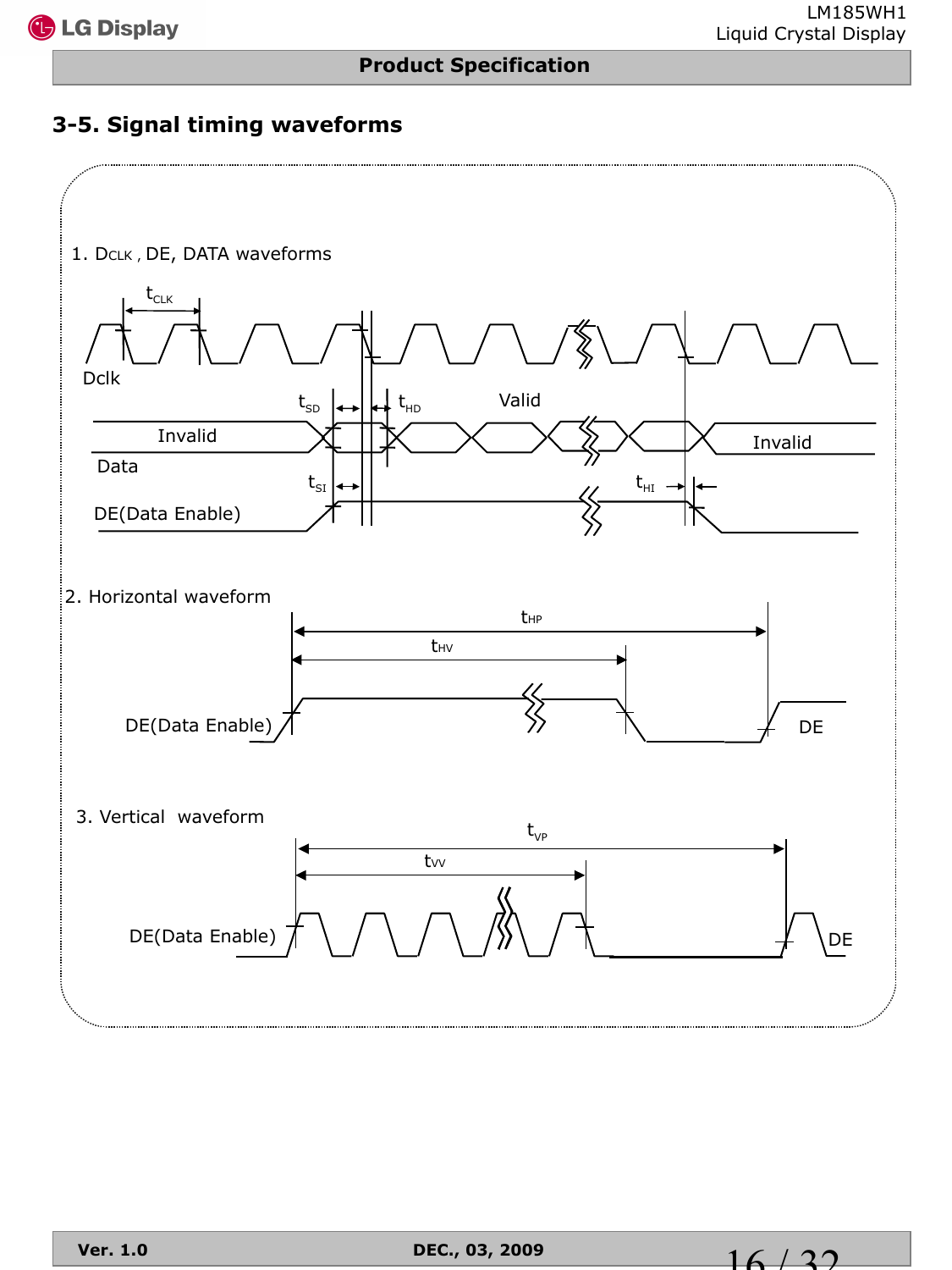## **3-5. Signal timing waveforms**



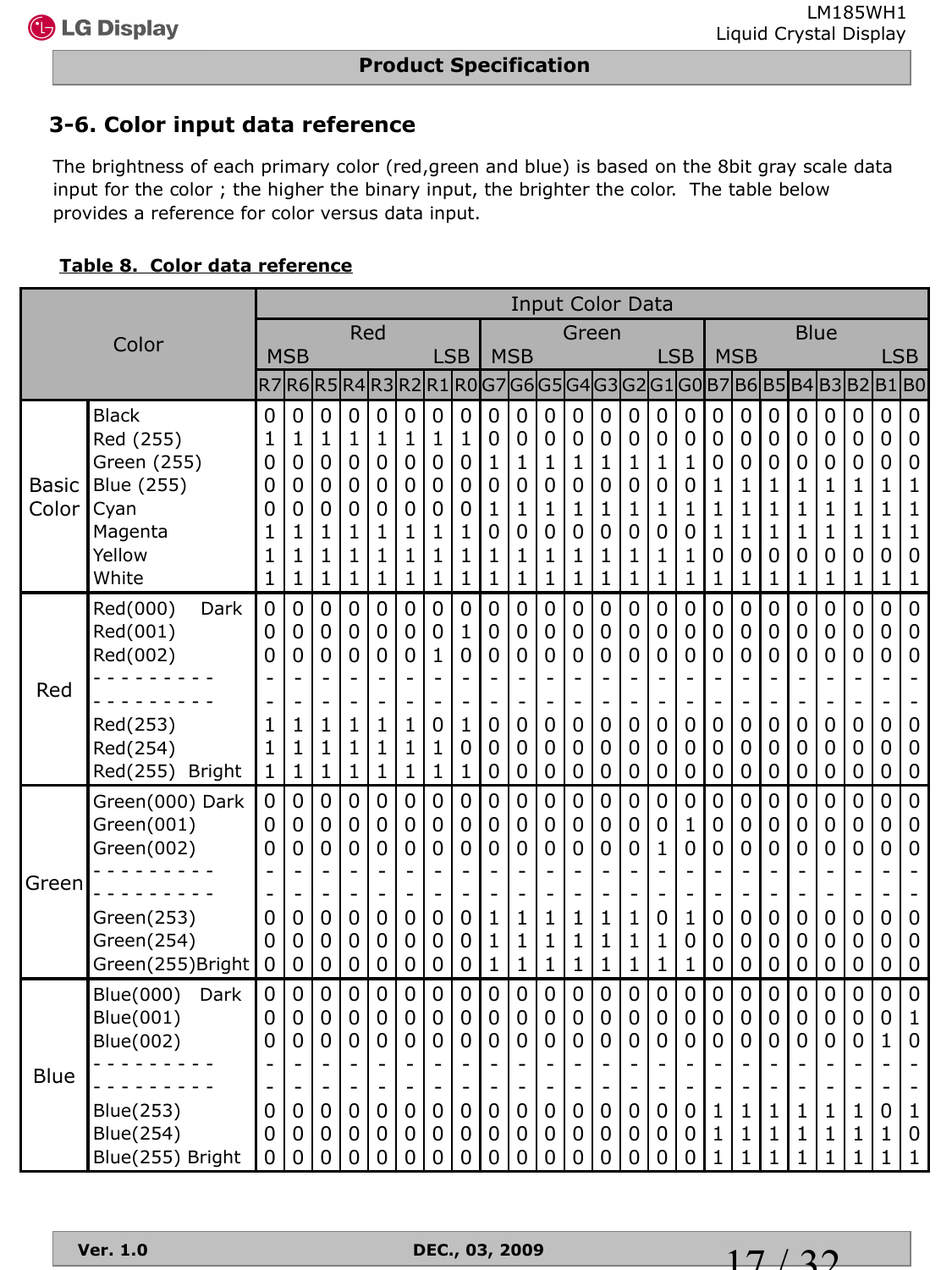$17/32$ 

## **3-6. Color input data reference**

The brightness of each primary color (red,green and blue) is based on the 8bit gray scale data input for the color ; the higher the binary input, the brighter the color. The table below provides a reference for color versus data input.

#### **Table 8. Color data reference**

|                       |                                                                                              |                                                            |                                                                                          |                                                        |                                                                                                     |                                                                                       |                                                   |                                                                    |                                                                                       |                                                                                  |                                                        |                                                                                             | <b>Input Color Data</b>                           |                                                                                        |                                                                                    |                                                                          |                                                                              |                                                                                           |                                                        |                                                                    |                                                                                        |                                                                                              |                                                                                      |                                                                                     |                                                                                                                                                      |
|-----------------------|----------------------------------------------------------------------------------------------|------------------------------------------------------------|------------------------------------------------------------------------------------------|--------------------------------------------------------|-----------------------------------------------------------------------------------------------------|---------------------------------------------------------------------------------------|---------------------------------------------------|--------------------------------------------------------------------|---------------------------------------------------------------------------------------|----------------------------------------------------------------------------------|--------------------------------------------------------|---------------------------------------------------------------------------------------------|---------------------------------------------------|----------------------------------------------------------------------------------------|------------------------------------------------------------------------------------|--------------------------------------------------------------------------|------------------------------------------------------------------------------|-------------------------------------------------------------------------------------------|--------------------------------------------------------|--------------------------------------------------------------------|----------------------------------------------------------------------------------------|----------------------------------------------------------------------------------------------|--------------------------------------------------------------------------------------|-------------------------------------------------------------------------------------|------------------------------------------------------------------------------------------------------------------------------------------------------|
|                       | Color                                                                                        |                                                            |                                                                                          |                                                        | Red                                                                                                 |                                                                                       |                                                   |                                                                    |                                                                                       |                                                                                  |                                                        |                                                                                             | Green                                             |                                                                                        |                                                                                    |                                                                          |                                                                              |                                                                                           |                                                        |                                                                    | <b>Blue</b>                                                                            |                                                                                              |                                                                                      |                                                                                     |                                                                                                                                                      |
|                       |                                                                                              |                                                            | <b>MSB</b>                                                                               |                                                        |                                                                                                     |                                                                                       |                                                   | <b>LSB</b>                                                         |                                                                                       |                                                                                  | <b>MSB</b>                                             |                                                                                             |                                                   |                                                                                        |                                                                                    |                                                                          | <b>LSB</b>                                                                   |                                                                                           | <b>MSB</b>                                             |                                                                    |                                                                                        |                                                                                              |                                                                                      |                                                                                     | <b>LSB</b>                                                                                                                                           |
|                       |                                                                                              |                                                            | R7 R6 R5 R4 R3 R2 R1 R0 G7 G6 G5 G4 G3                                                   |                                                        |                                                                                                     |                                                                                       |                                                   |                                                                    |                                                                                       |                                                                                  |                                                        |                                                                                             |                                                   |                                                                                        |                                                                                    |                                                                          |                                                                              |                                                                                           |                                                        | G2G1G0B7B6B5                                                       |                                                                                        | B4B3B2                                                                                       |                                                                                      | B1                                                                                  | <b>BO</b>                                                                                                                                            |
| <b>Basic</b><br>Color | <b>Black</b><br>Red (255)<br>Green (255)<br>Blue (255)<br>Cyan<br>Magenta<br>Yellow<br>White | 0<br>1<br>0<br>0<br>0<br>1<br>$\mathbf{1}$<br>$\mathbf{1}$ | $\overline{0}$<br>1<br>0<br>0<br>0<br>1<br>$\mathbf{1}$<br>1                             | 0<br>1<br>0<br>0<br>0<br>1<br>$\mathbf{1}$<br>1        | 0<br>1<br>0<br>0<br>0<br>1<br>$\mathbf 1$<br>$\mathbf 1$                                            | $\mathbf 0$<br>1<br>0<br>0<br>0<br>1<br>$\mathbf{1}$<br>1                             | 0<br>1<br>0<br>0<br>0<br>1<br>1<br>1              | $\mathbf 0$<br>1<br>0<br>0<br>0<br>1<br>$\mathbf 1$<br>$\mathbf 1$ | 0<br>1<br>0<br>0<br>0<br>1<br>$\mathbf{1}$<br>1                                       | $\overline{0}$<br>$\mathbf 0$<br>1<br>$\mathbf 0$<br>1<br>0<br>$\mathbf{1}$<br>1 | $\overline{0}$<br>0<br>1<br>0<br>1<br>0<br>1<br>1      | $\mathbf 0$<br>0<br>1<br>$\overline{0}$<br>$\mathbf 1$<br>0<br>$\mathbf{1}$<br>$\mathbf{1}$ | 0<br>0<br>1<br>$\overline{0}$<br>1<br>0<br>1<br>1 | $\overline{0}$<br>$\mathbf 0$<br>1<br>$\mathbf 0$<br>1<br>0<br>1<br>1                  | $\mathbf 0$<br>0<br>1<br>0<br>1<br>0<br>$\mathbf{1}$<br>$\mathbf{1}$               | 0<br>0<br>1<br>0<br>1<br>0<br>1<br>1                                     | $\mathbf 0$<br>$\mathbf 0$<br>1<br>0<br>$\mathbf 1$<br>0<br>$\mathbf 1$<br>1 | $\overline{0}$<br>$\mathbf 0$<br>0<br>1<br>$\mathbf 1$<br>$\mathbf 1$<br>0<br>$\mathbf 1$ | 0<br>0<br>0<br>1<br>1<br>1<br>0<br>1                   | 0<br>0<br>0<br>1<br>$\mathbf 1$<br>$\mathbf 1$<br>0<br>$\mathbf 1$ | $\mathbf 0$<br>0<br>0<br>1<br>$\mathbf{1}$<br>1<br>0<br>$\mathbf{1}$                   | $\mathbf 0$<br>0<br>0<br>1<br>1<br>1<br>0<br>1                                               | $\mathbf 0$<br>0<br>0<br>1<br>1<br>1<br>0<br>1                                       | $\overline{0}$<br>$\mathbf 0$<br>0<br>1<br>$\mathbf{1}$<br>1<br>0<br>1              | $\mathbf 0$<br>$\mathbf 0$<br>$\mathbf 0$<br>$\mathbf 1$<br>$\mathbf 1$<br>$\mathbf{1}$<br>$\mathbf 0$<br>$\mathbf 1$                                |
| Red                   | Red(000)<br>Dark<br>Red(001)<br>Red(002)<br>Red(253)<br>Red(254)<br>Red(255) Bright          | 0<br>0<br>0<br>1<br>1<br>1                                 | $\overline{0}$<br>0<br>0<br>$\overline{\phantom{0}}$<br>1<br>$\mathbf 1$<br>$\mathbf{1}$ | 0<br>0<br>0<br>$\overline{\phantom{0}}$<br>1<br>1<br>1 | 0<br>0<br>0<br>$\overline{\phantom{0}}$<br>$\qquad \qquad -$<br>1<br>1<br>$\mathbf 1$               | 0<br>$\mathbf 0$<br>0<br>$\overline{\phantom{a}}$<br>$\mathbf 1$<br>$\mathbf{1}$<br>1 | 0<br>0<br>0<br>۰<br>1<br>1<br>1                   | 0<br>0<br>$\mathbf 1$<br>$\overline{\phantom{a}}$<br>0<br>1<br>1   | 0<br>$\mathbf{1}$<br>0<br>$\overline{\phantom{0}}$<br>$\mathbf 1$<br>0<br>$\mathbf 1$ | 0<br>$\mathbf 0$<br>$\mathbf 0$<br>$\overline{\phantom{0}}$<br>0<br>0<br>0       | 0<br>0<br>0<br>$\overline{\phantom{m}}$<br>0<br>0<br>0 | 0<br>0<br>0<br>$\overline{\phantom{a}}$<br>$\mathbf 0$<br>0<br>0                            | 0<br>0<br>0<br>0<br>O<br>0                        | $\mathbf 0$<br>$\mathbf 0$<br>0<br>$\overline{\phantom{m}}$<br>0<br>0<br>$\mathbf 0$   | 0<br>0<br>0<br>$\overline{\phantom{a}}$<br>0<br>0<br>0                             | 0<br>0<br>0<br>$\overline{\phantom{0}}$<br>0<br>0<br>0                   | $\mathbf 0$<br>$\mathbf 0$<br>0<br>$\overline{\phantom{0}}$<br>0<br>0<br>0   | 0<br>$\mathbf 0$<br>0<br>$\overline{\phantom{a}}$<br>0<br>0<br>$\mathbf 0$                | 0<br>0<br>0<br>$\overline{\phantom{0}}$<br>0<br>0<br>0 | $\overline{0}$<br>0<br>0<br>-<br>0<br>0<br>0                       | 0<br>0<br>0<br>$\overline{\phantom{a}}$<br>0<br>0<br>0                                 | 0<br>0<br>0<br>$\overline{\phantom{0}}$<br>0<br>0<br>0                                       | $\mathbf 0$<br>$\mathbf 0$<br>0<br>$\overline{\phantom{0}}$<br>0<br>0<br>$\mathbf 0$ | 0<br>$\mathbf 0$<br>0<br>$\blacksquare$<br>0<br>0<br>$\mathbf 0$                    | $\mathbf 0$<br>$\mathbf 0$<br>$\overline{0}$<br>$\blacksquare$<br>$\overline{\phantom{a}}$<br>$\mathbf 0$<br>$\mathbf 0$<br>$\mathbf 0$              |
| Green                 | Green(000) Dark<br>Green(001)<br>Green(002)<br>Green(253)<br>Green(254)<br>Green(255)Bright  | 0<br>0<br>0<br>0<br>0<br>0                                 | $\overline{0}$<br>0<br>0<br>0<br>0<br>0                                                  | 0<br>0<br>0<br>0<br>0<br>0                             | $\mathbf 0$<br>0<br>0<br>$\overline{\phantom{0}}$<br>$\mathbf 0$<br>0<br>0                          | $\mathbf 0$<br>0<br>0<br>$\overline{\phantom{0}}$<br>$\mathbf 0$<br>$\mathbf 0$<br>0  | 0<br>0<br>0<br>$\mathbf 0$<br>$\overline{0}$<br>0 | 0<br>0<br>0<br>$\overline{\phantom{0}}$<br>$\mathbf 0$<br>0<br>0   | 0<br>0<br>0<br>$\overline{a}$<br>0<br>0<br>0                                          | $\mathbf 0$<br>0<br>0<br>$\mathbf{1}$<br>$\mathbf 1$<br>1                        | 0<br>0<br>0<br>1<br>1<br>1                             | 0<br>0<br>0<br>۰<br>$\mathbf{1}$<br>$\mathbf{1}$<br>$\mathbf 1$                             | $\overline{0}$<br>0<br>0<br>1<br>1<br>1           | $\mathbf 0$<br>0<br>0<br>$\overline{\phantom{0}}$<br>1<br>1<br>1                       | 0<br>0<br>0<br>$\overline{a}$<br>$\mathbf{1}$<br>$\mathbf{1}$<br>$\mathbf 1$       | 0<br>0<br>1<br>0<br>1<br>1                                               | $\mathbf 0$<br>$\mathbf 1$<br>0<br>-<br>$\mathbf 1$<br>0<br>1                | 0<br>0<br>0<br>$\overline{0}$<br>0<br>$\overline{0}$                                      | 0<br>0<br>0<br>0<br>0<br>0                             | 0<br>0<br>0<br>-<br>0<br>0<br>0                                    | 0<br>0<br>0<br>$\overline{a}$<br>$\mathbf 0$<br>$\overline{0}$<br>0                    | $\mathbf 0$<br>0<br>0<br>0<br>0<br>0                                                         | $\mathbf 0$<br>0<br>0<br>$\mathbf 0$<br>$\overline{0}$<br>0                          | 0<br>0<br>0<br>$\overline{a}$<br>$\mathbf 0$<br>$\mathbf 0$<br>$\mathbf 0$          | $\pmb{0}$<br>$\boldsymbol{0}$<br>$\mathbf 0$<br>$\overline{\phantom{a}}$<br>$\overline{\phantom{a}}$<br>$\mathbf 0$<br>$\overline{0}$<br>$\mathbf 0$ |
| <b>Blue</b>           | Blue(000)<br>Dark<br>Blue(001)<br>Blue(002)<br>Blue(253)<br>Blue(254)<br>Blue(255) Bright    | 0<br>0<br>0<br>0<br>0<br>0                                 | $\overline{0}$<br>0<br>0<br>۰<br>$\overline{\phantom{0}}$<br>0<br>0<br>0                 | 0<br>0<br>0<br>$\overline{\phantom{0}}$<br>0<br>0<br>0 | $\overline{0}$<br>0<br>0<br>$\overline{\phantom{0}}$<br>$\qquad \qquad \blacksquare$<br>0<br>0<br>0 | 0<br>0<br>0<br>۰<br>$\overline{\phantom{0}}$<br>0<br>0<br>0                           | 0<br>$\mathbf 0$<br>0<br>۰<br>0<br>0<br>0         | 0<br>0<br>0<br>$\overline{\phantom{0}}$<br>-<br>0<br>0<br>0        | 0<br>0<br>0<br>$\overline{\phantom{0}}$<br>$\overline{\phantom{m}}$<br>0<br>0<br>0    | $\mathbf 0$<br>0<br>0<br>-<br>0<br>0<br>0                                        | $\overline{0}$<br>0<br>0<br>۳<br>-<br>0<br>0<br>0      | 0<br>0<br>0<br>۰<br>$\blacksquare$<br>0<br>0<br>0                                           | 0<br>0<br>0<br>0<br>0<br>0                        | $\overline{0}$<br>$\mathbf 0$<br>0<br>۳<br>$\qquad \qquad \blacksquare$<br>0<br>0<br>0 | 0<br>0<br>0<br>$\overline{\phantom{a}}$<br>$\overline{\phantom{a}}$<br>0<br>0<br>0 | 0<br>0<br>0<br>$\overline{\phantom{0}}$<br>$\blacksquare$<br>0<br>0<br>0 | $\overline{0}$<br>$\mathbf 0$<br>0<br>۰<br>-<br>0<br>0<br>0                  | 0<br>$\overline{0}$<br>0<br>٠<br>$\blacksquare$<br>$\mathbf 1$<br>1<br>$\mathbf 1$        | 0<br>0<br>0<br>$\overline{\phantom{0}}$<br>1<br>1<br>1 | 0<br>0<br>0<br>-<br>1<br>1<br>$\mathbf{1}$                         | 0<br>0<br>0<br>$\overline{\phantom{0}}$<br>$\qquad \qquad -$<br>1<br>1<br>$\mathbf{1}$ | $\mathbf 0$<br>0<br>0<br>$\overline{\phantom{0}}$<br>$\overline{\phantom{0}}$<br>1<br>1<br>1 | $\mathbf 0$<br>0<br>0<br>-<br>1<br>1<br>1                                            | 0<br>$\overline{0}$<br>1<br>۰<br>$\overline{\phantom{a}}$<br>0<br>1<br>$\mathbf{1}$ | $\pmb{0}$<br>$\mathbf{1}$<br>$\mathbf 0$<br>$\overline{\phantom{a}}$<br>$\overline{\phantom{a}}$<br>1<br>$\boldsymbol{0}$<br>$\mathbf 1$             |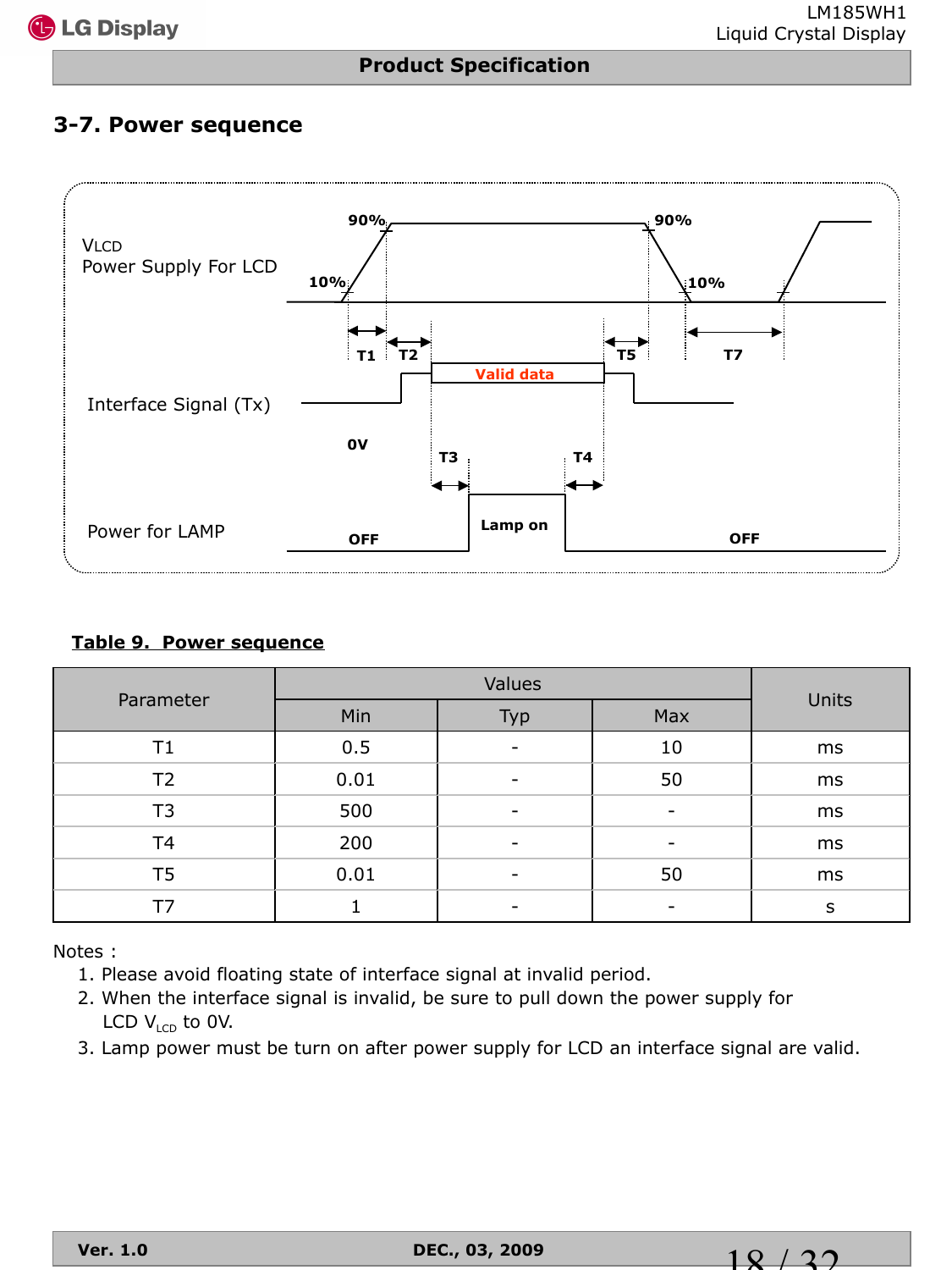## **3-7. Power sequence**



#### **Table 9. Power sequence**

|                |      | Units |     |    |
|----------------|------|-------|-----|----|
| Parameter      | Min  | Typ   | Max |    |
| Τ1             | 0.5  |       | 10  | ms |
| T <sub>2</sub> | 0.01 | -     | 50  | ms |
| T3             | 500  | -     |     | ms |
| T <sub>4</sub> | 200  |       |     | ms |
| T <sub>5</sub> | 0.01 |       | 50  | ms |
| Т7             |      |       |     | S  |

Notes :

- 1. Please avoid floating state of interface signal at invalid period.
- 2. When the interface signal is invalid, be sure to pull down the power supply for LCD  $V_{\text{LCD}}$  to 0V.
- 3. Lamp power must be turn on after power supply for LCD an interface signal are valid.

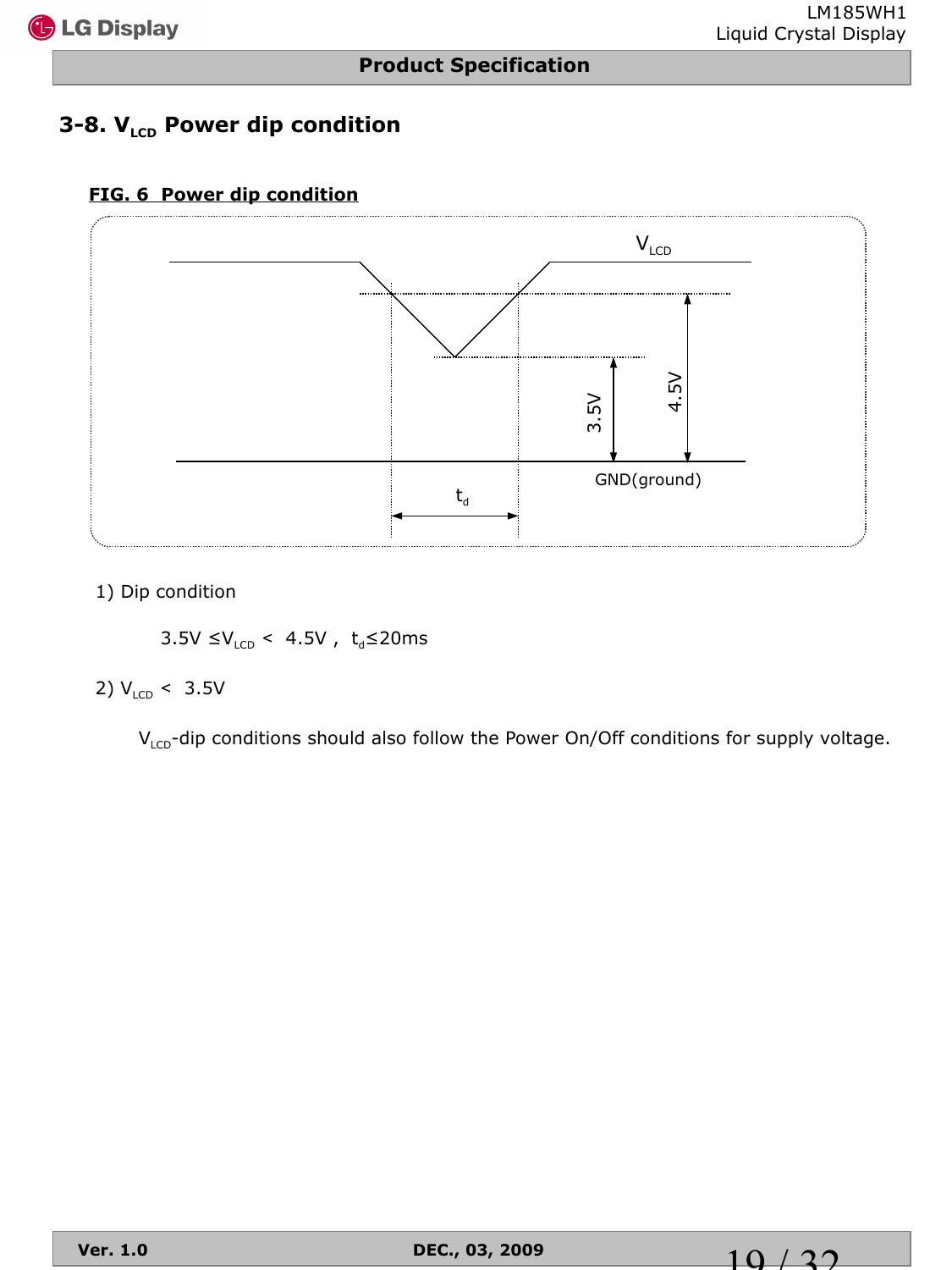## **3-8. V<sub>LCD</sub> Power dip condition**

#### **FIG. 6 Power dip condition**



1) Dip condition

3.5V ≤ $V_{LCD}$  < 4.5V, t<sub>d</sub>≤20ms

#### 2)  $V_{LCD}$  < 3.5V

 $V_{LCD}$ -dip conditions should also follow the Power On/Off conditions for supply voltage.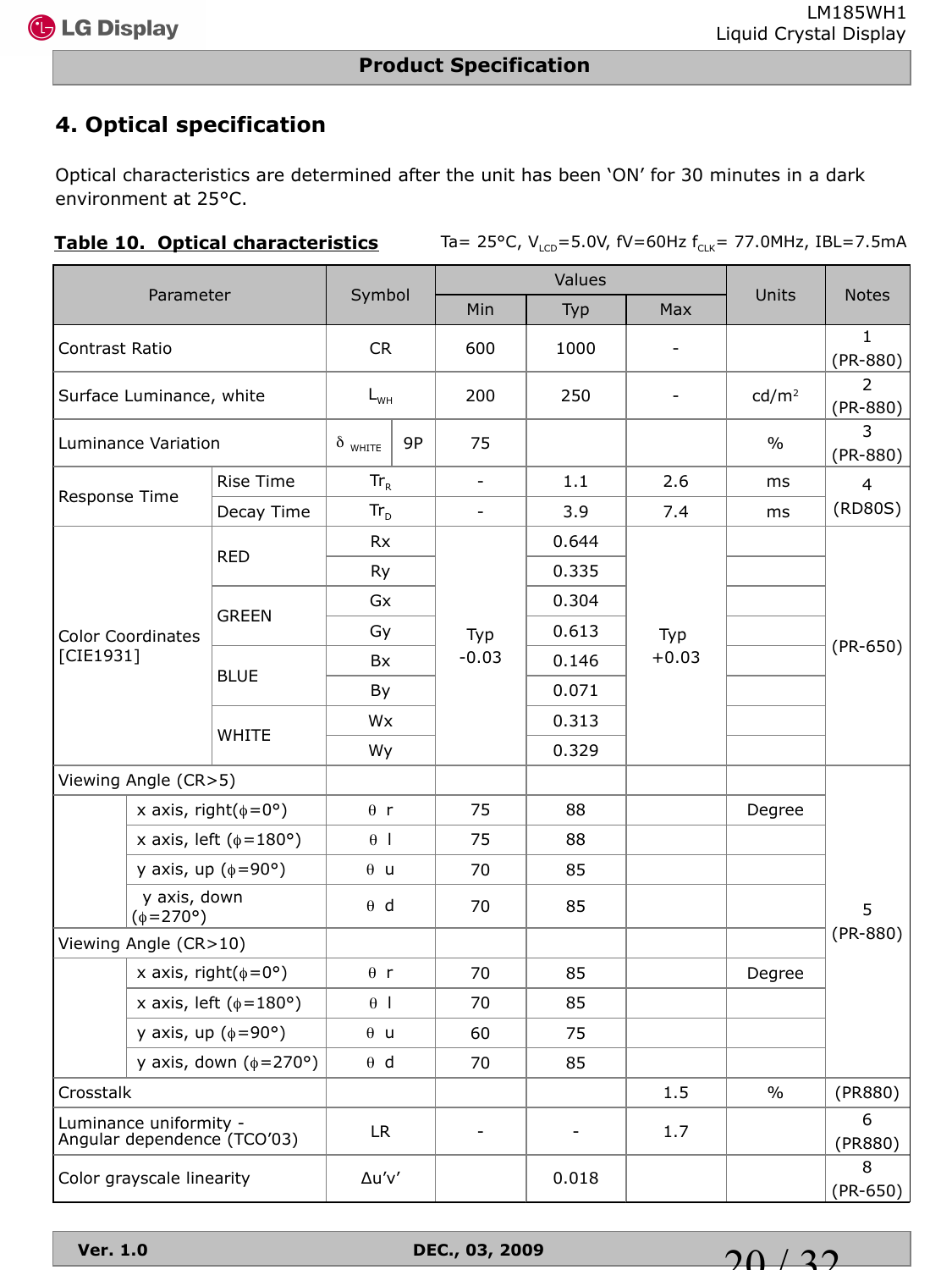## **4. Optical specification**

Optical characteristics are determined after the unit has been 'ON' for 30 minutes in a dark environment at 25°C.

Table 10. Optical characteristics Ta= 25°C, V<sub>LCD</sub>=5.0V, fV=60Hz f<sub>CLK</sub>= 77.0MHz, IBL=7.5mA

|                |                                        |                                     |                |    |                          | Values |                   |                   |                            |
|----------------|----------------------------------------|-------------------------------------|----------------|----|--------------------------|--------|-------------------|-------------------|----------------------------|
|                | Parameter                              |                                     | Symbol         |    | Min                      | Typ    | Max               | Units             | <b>Notes</b>               |
| Contrast Ratio |                                        |                                     | <b>CR</b>      |    | 600                      | 1000   |                   |                   | $\mathbf{1}$<br>$(PR-880)$ |
|                | Surface Luminance, white               |                                     | $L_{WH}$       |    | 200                      | 250    | $\qquad \qquad -$ | cd/m <sup>2</sup> | 2<br>$(PR-880)$            |
|                | Luminance Variation                    |                                     | $\delta$ white | 9P | 75                       |        |                   | $\%$              | 3<br>$(PR-880)$            |
| Response Time  |                                        | <b>Rise Time</b>                    | $Tr_R$         |    | $\overline{\phantom{a}}$ | 1.1    | 2.6               | ms                | $\overline{4}$             |
|                |                                        | Decay Time                          | $Tr_{D}$       |    | $\overline{\phantom{0}}$ | 3.9    | 7.4               | ms                | (RD80S)                    |
|                |                                        | <b>RED</b>                          | <b>Rx</b>      |    |                          | 0.644  |                   |                   |                            |
|                |                                        |                                     | Ry             |    |                          | 0.335  |                   |                   |                            |
|                |                                        |                                     | Gx             |    |                          | 0.304  |                   |                   |                            |
|                | <b>Color Coordinates</b>               | <b>GREEN</b>                        | Gy             |    | Typ                      | 0.613  | Typ               |                   |                            |
| [CIE1931]      |                                        |                                     | <b>Bx</b>      |    | $-0.03$                  | 0.146  | $+0.03$           |                   | $(PR-650)$                 |
|                |                                        | <b>BLUE</b>                         | By             |    |                          | 0.071  |                   |                   |                            |
|                |                                        |                                     | Wx             |    |                          | 0.313  |                   |                   |                            |
|                |                                        | <b>WHITE</b>                        | Wy             |    |                          | 0.329  |                   |                   |                            |
|                | Viewing Angle (CR>5)                   |                                     |                |    |                          |        |                   |                   |                            |
|                |                                        | x axis, right( $\phi = 0^{\circ}$ ) | $\theta$ r     |    | 75                       | 88     |                   | Degree            |                            |
|                |                                        | x axis, left ( $\phi$ =180°)        | $\theta$       |    | 75                       | 88     |                   |                   |                            |
|                |                                        | y axis, up $(\phi = 90^{\circ})$    | $\theta$ u     |    | 70                       | 85     |                   |                   |                            |
|                | y axis, down<br>$(\phi = 270^{\circ})$ |                                     | $\theta$ d     |    | 70                       | 85     |                   |                   | 5                          |
|                | Viewing Angle (CR>10)                  |                                     |                |    |                          |        |                   |                   | $(PR-880)$                 |
|                |                                        | x axis, right( $\phi = 0^{\circ}$ ) | $\theta$ r     |    | 70                       | 85     |                   | Degree            |                            |
|                |                                        | x axis, left ( $\phi$ =180°)        | $\theta$       |    | 70                       | 85     |                   |                   |                            |
|                |                                        | y axis, up $(\phi = 90^{\circ})$    | $\theta$ u     |    | 60                       | 75     |                   |                   |                            |
|                |                                        | y axis, down $(\phi = 270^{\circ})$ | $\theta$ d     |    | 70                       | 85     |                   |                   |                            |
| Crosstalk      |                                        |                                     |                |    |                          |        | 1.5               | $\%$              | (PR880)                    |
|                | Luminance uniformity -                 | Angular dependence (TCO'03)         | LR             |    | $\overline{\phantom{0}}$ |        | 1.7               |                   | 6<br>(PR880)               |
|                | Color grayscale linearity              |                                     | Δu'v'          |    |                          | 0.018  |                   |                   | 8<br>$(PR-650)$            |

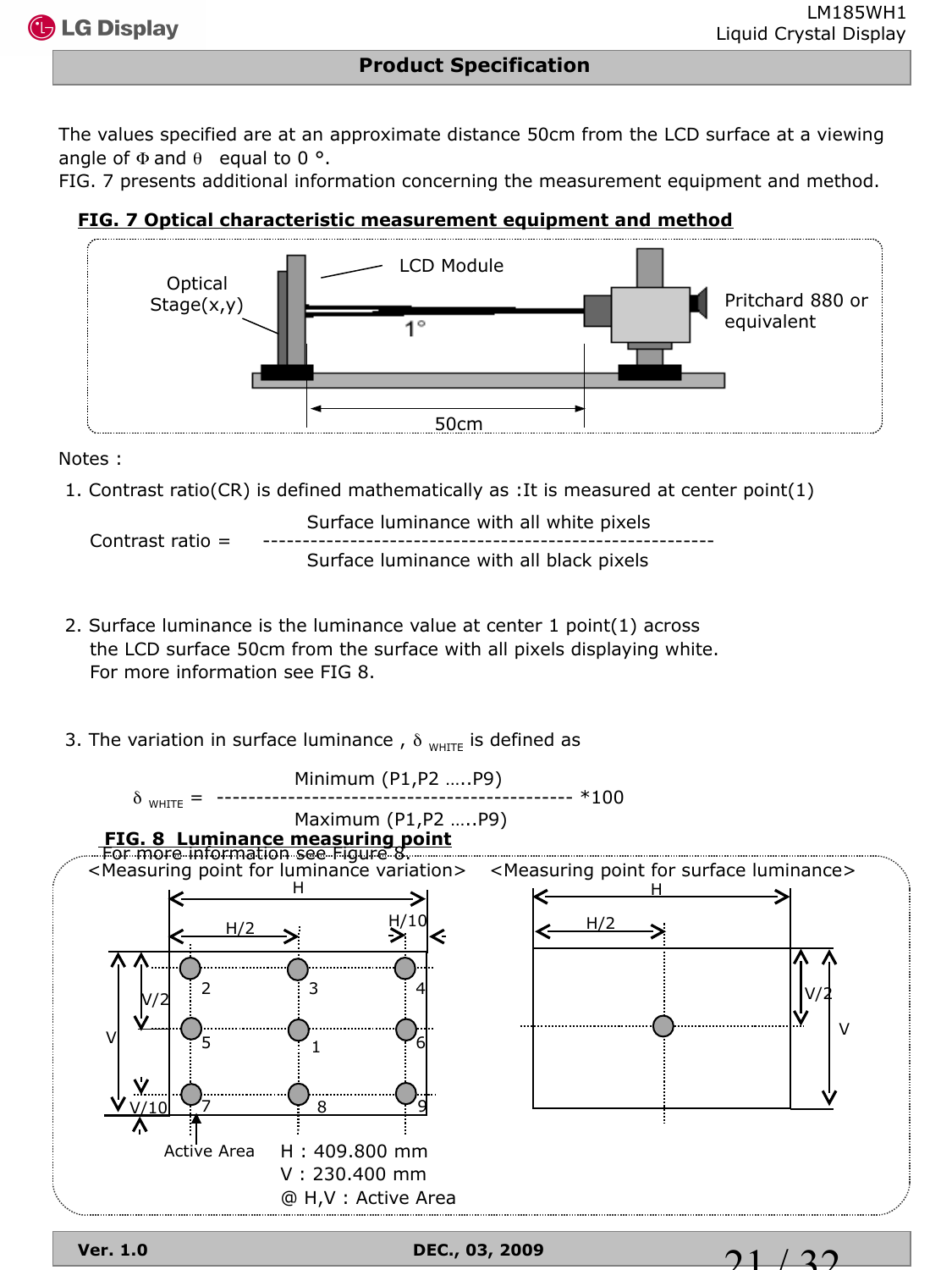21 / 32

#### **Product Specification**

The values specified are at an approximate distance 50cm from the LCD surface at a viewing angle of  $\Phi$  and  $\theta$  equal to 0 °.

FIG. 7 presents additional information concerning the measurement equipment and method.

#### **FIG. 7 Optical characteristic measurement equipment and method**



#### Notes :

1. Contrast ratio(CR) is defined mathematically as :It is measured at center point(1)

 Surface luminance with all white pixels Contrast ratio  $=$ Surface luminance with all black pixels

- 2. Surface luminance is the luminance value at center 1 point(1) across the LCD surface 50cm from the surface with all pixels displaying white. For more information see FIG 8.
- 3. The variation in surface luminance,  $\delta_{\text{WHTE}}$  is defined as

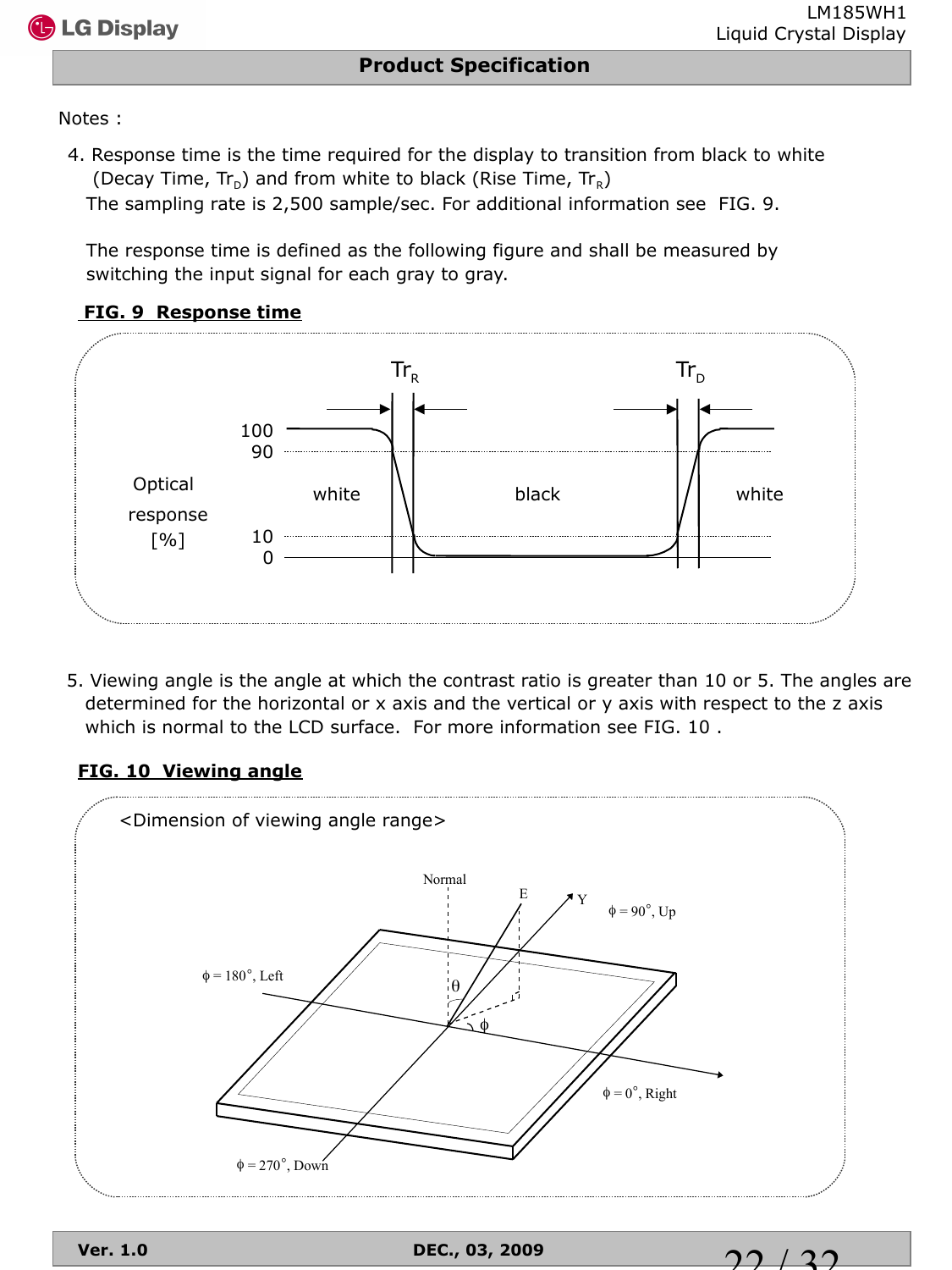$\mathbf{2} \mathbf{0}$ 

Notes :

4. Response time is the time required for the display to transition from black to white (Decay Time,  $Tr_{D}$ ) and from white to black (Rise Time,  $Tr_{R}$ )

The sampling rate is 2,500 sample/sec. For additional information see FIG. 9.

 The response time is defined as the following figure and shall be measured by switching the input signal for each gray to gray.





5. Viewing angle is the angle at which the contrast ratio is greater than 10 or 5. The angles are determined for the horizontal or x axis and the vertical or y axis with respect to the z axis which is normal to the LCD surface. For more information see FIG. 10 .

#### **FIG. 10 Viewing angle**

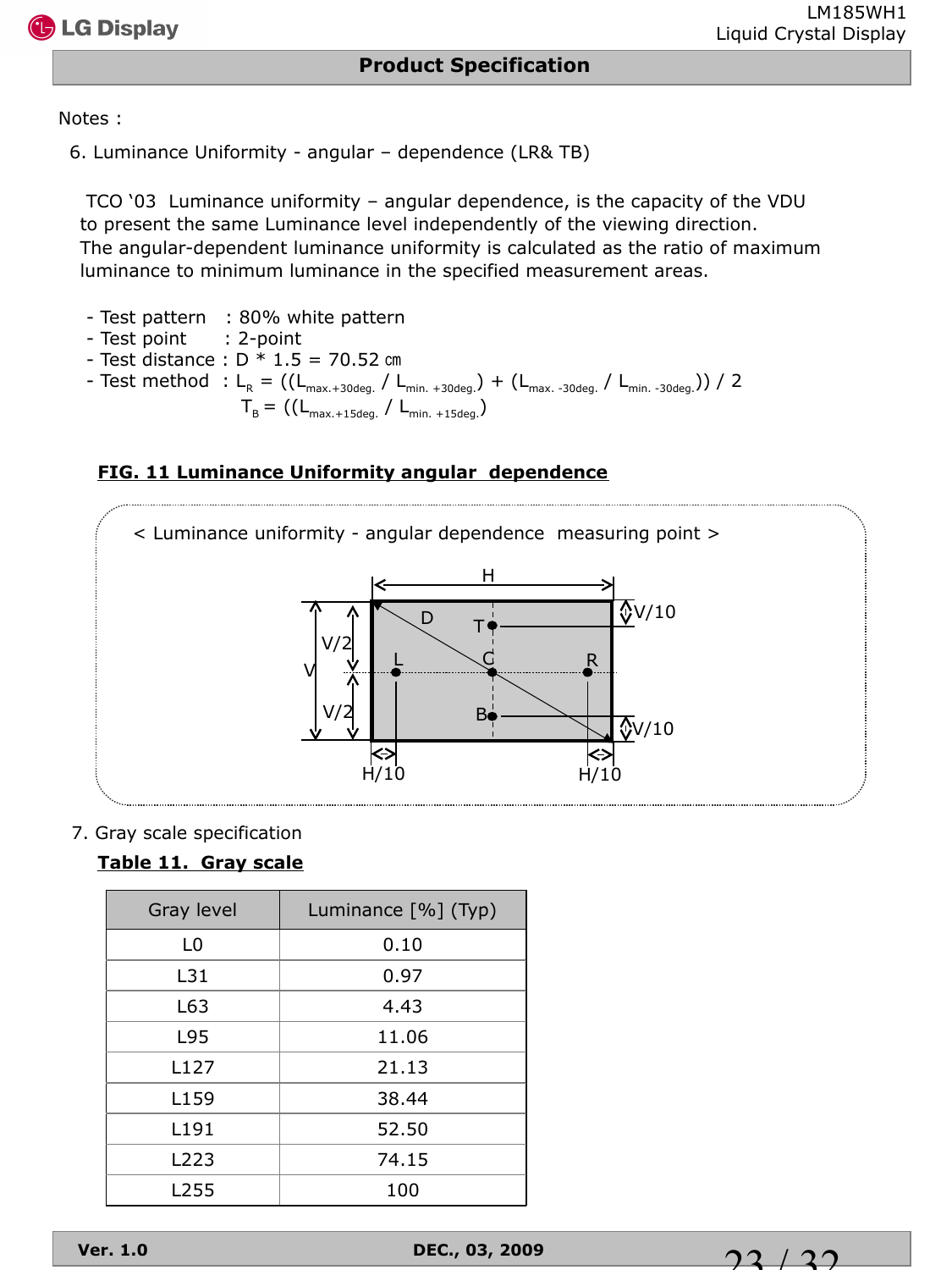

Notes :

6. Luminance Uniformity - angular – dependence (LR& TB)

TCO '03 Luminance uniformity – angular dependence, is the capacity of the VDU to present the same Luminance level independently of the viewing direction. The angular-dependent luminance uniformity is calculated as the ratio of maximum luminance to minimum luminance in the specified measurement areas.

- Test pattern : 80% white pattern
- Test point : 2-point
- $-$  Test distance :  $D * 1.5 = 70.52$  cm - Test method :  $L_R = ((L_{max.+30deg.}/ L_{min.+30deg.}) + (L_{max.-30deg.}/ L_{min.-30deg.})) / 2$  $T_{B} = ((L_{\text{max.}+15 \text{deg.}} / L_{\text{min.}+15 \text{deg.}}))$

## **FIG. 11 Luminance Uniformity angular dependence**



#### 7. Gray scale specification

## **Table 11. Gray scale**

| Gray level | Luminance [%] (Typ) |
|------------|---------------------|
| L0         | 0.10                |
| L31        | 0.97                |
| L63        | 4.43                |
| L95        | 11.06               |
| L127       | 21.13               |
| L159       | 38.44               |
| L191       | 52.50               |
| L223       | 74.15               |
| L255       | 100                 |

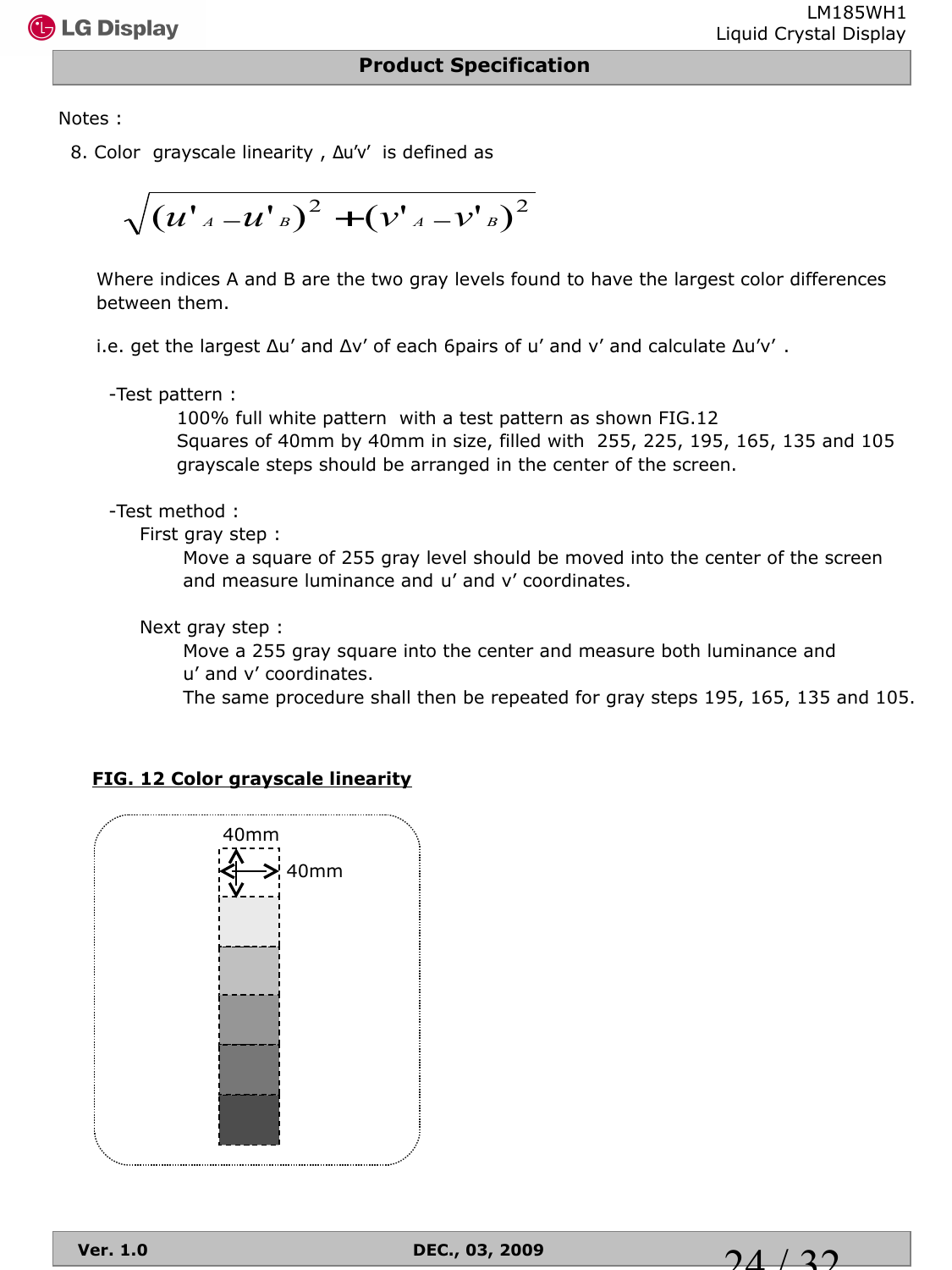

Notes :

8. Color grayscale linearity , Δu'v' is defined as

$$
\sqrt{(u'_{A}-u'_{B})^{2}+(v'_{A}-v'_{B})^{2}}
$$

Where indices A and B are the two gray levels found to have the largest color differences between them.

i.e. get the largest  $\Delta u'$  and  $\Delta v'$  of each 6pairs of u' and v' and calculate  $\Delta u'v'$ .

-Test pattern :

 100% full white pattern with a test pattern as shown FIG.12 Squares of 40mm by 40mm in size, filled with 255, 225, 195, 165, 135 and 105 grayscale steps should be arranged in the center of the screen.

-Test method :

First gray step :

 Move a square of 255 gray level should be moved into the center of the screen and measure luminance and u' and v' coordinates.

Next gray step :

 Move a 255 gray square into the center and measure both luminance and u' and v' coordinates.

The same procedure shall then be repeated for gray steps 195, 165, 135 and 105.

#### **FIG. 12 Color grayscale linearity**



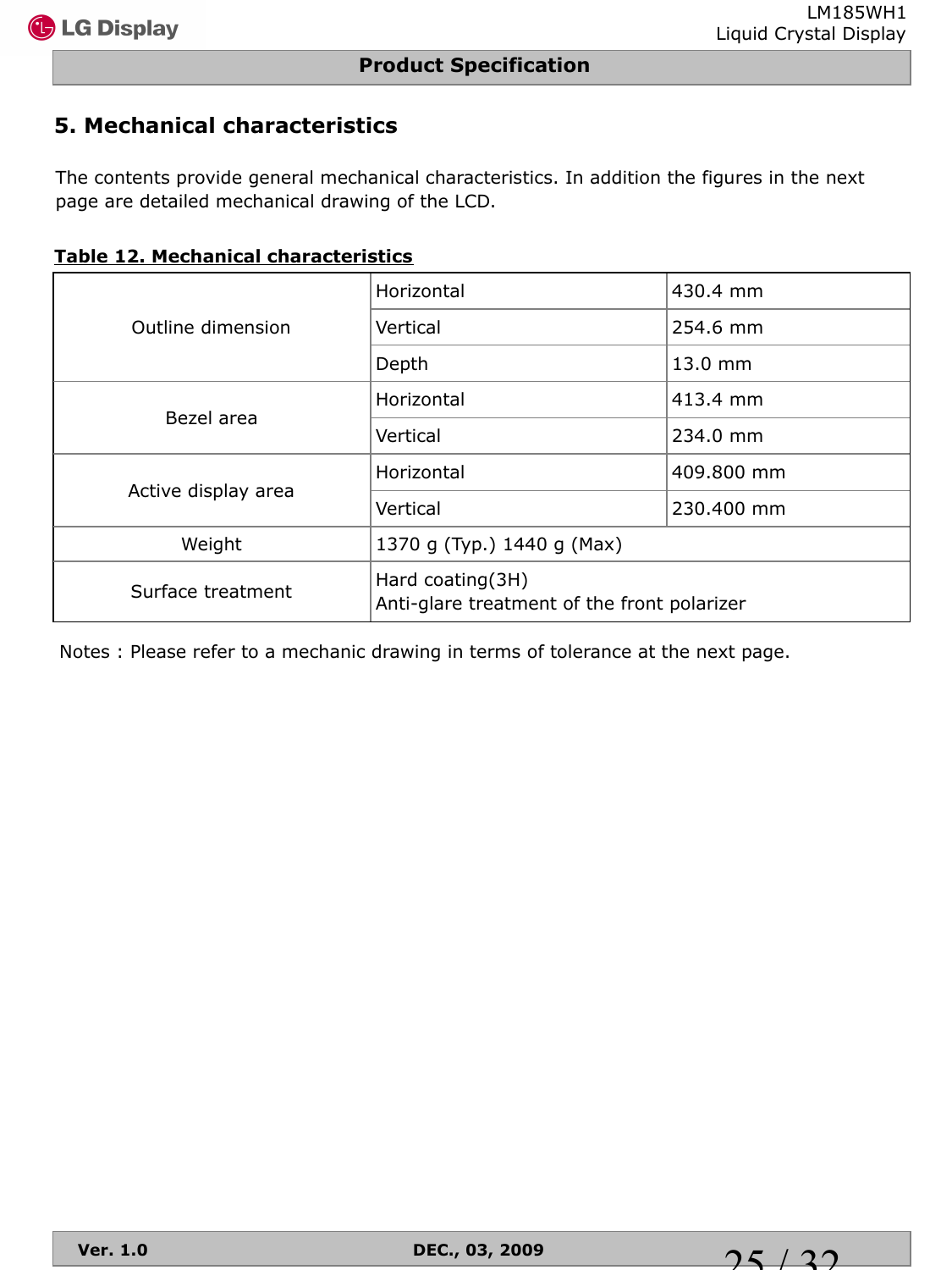## **5. Mechanical characteristics**

The contents provide general mechanical characteristics. In addition the figures in the next page are detailed mechanical drawing of the LCD.

|  |  |  | <b>Table 12. Mechanical characteristics</b> |
|--|--|--|---------------------------------------------|
|--|--|--|---------------------------------------------|

|                     | Horizontal                                                      | 430.4 mm   |  |  |
|---------------------|-----------------------------------------------------------------|------------|--|--|
| Outline dimension   | Vertical                                                        | 254.6 mm   |  |  |
|                     | Depth                                                           | 13.0 mm    |  |  |
| Bezel area          | Horizontal                                                      | 413.4 mm   |  |  |
|                     | Vertical                                                        | 234.0 mm   |  |  |
|                     | Horizontal                                                      | 409,800 mm |  |  |
| Active display area | Vertical                                                        | 230.400 mm |  |  |
| Weight              | 1370 g (Typ.) 1440 g (Max)                                      |            |  |  |
| Surface treatment   | Hard coating(3H)<br>Anti-glare treatment of the front polarizer |            |  |  |

Notes : Please refer to a mechanic drawing in terms of tolerance at the next page.

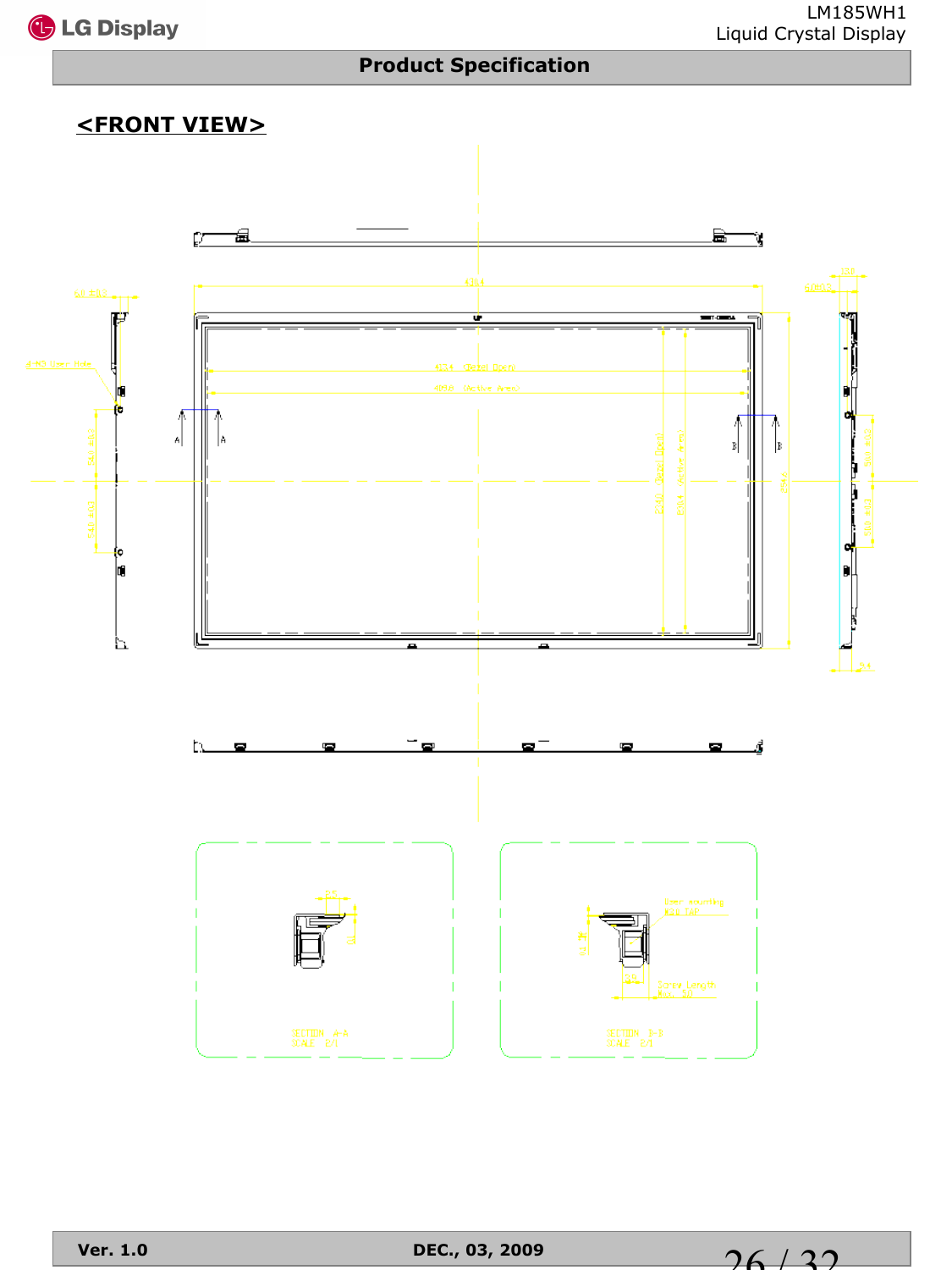

## **<FRONT VIEW>**

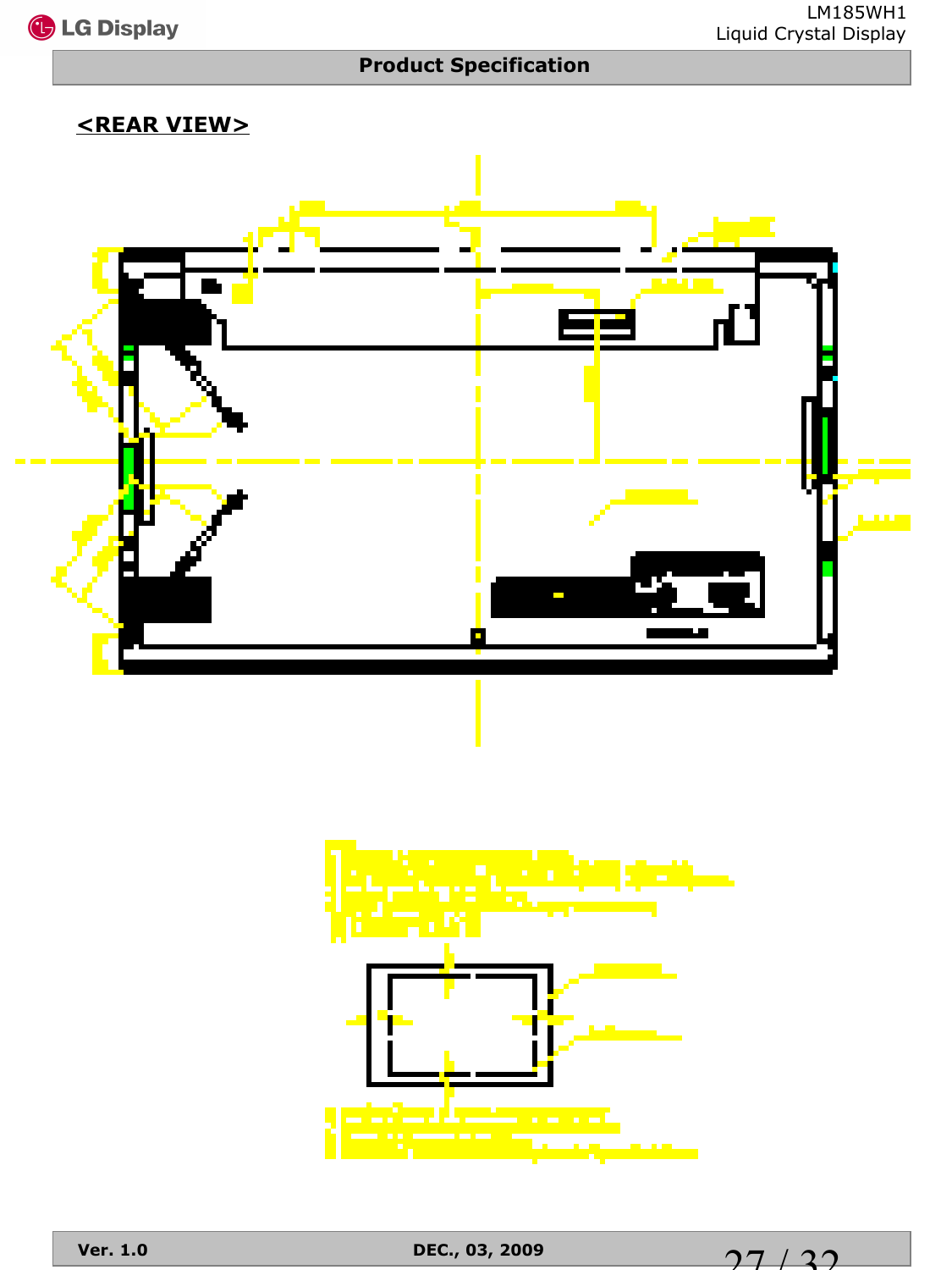

## **<REAR VIEW>**





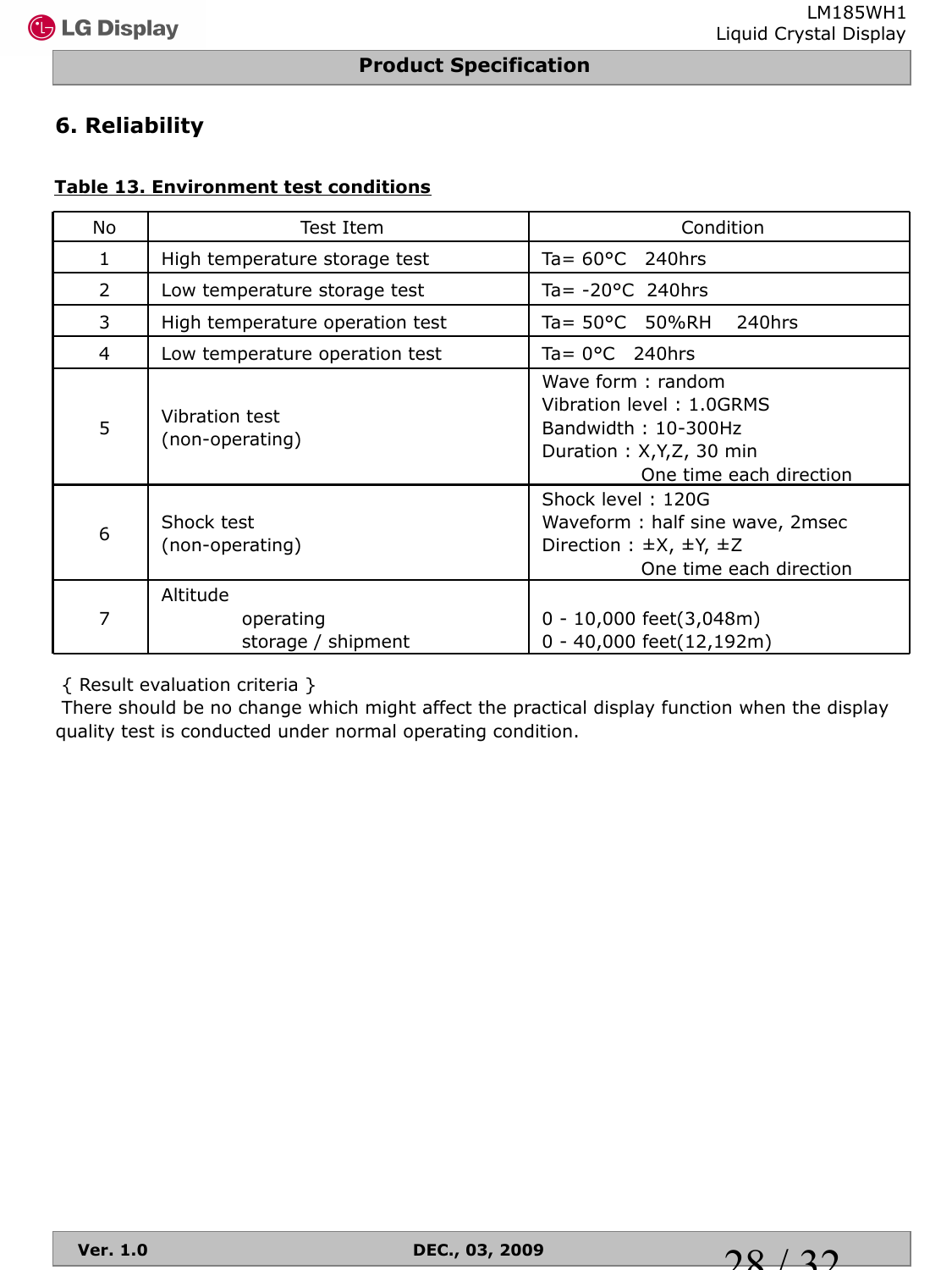## **6. Reliability**

#### **Table 13. Environment test conditions**

| No             | Test Item                                   | Condition                                                                                                                  |
|----------------|---------------------------------------------|----------------------------------------------------------------------------------------------------------------------------|
| 1              | High temperature storage test               | Ta= $60^{\circ}$ C 240hrs                                                                                                  |
| $\overline{2}$ | Low temperature storage test                | Ta= $-20^{\circ}$ C 240hrs                                                                                                 |
| 3              | High temperature operation test             | Ta= 50°C 50%RH<br>240hrs                                                                                                   |
| 4              | Low temperature operation test              | Ta= $0^{\circ}$ C 240hrs                                                                                                   |
| 5              | <b>Vibration test</b><br>(non-operating)    | Wave form: random<br>Vibration level: 1.0GRMS<br>Bandwidth: 10-300Hz<br>Duration: X,Y,Z, 30 min<br>One time each direction |
| 6              | Shock test<br>(non-operating)               | Shock level: 120G<br>Waveform: half sine wave, 2msec<br>Direction : $\pm X$ , $\pm Y$ , $\pm Z$<br>One time each direction |
| 7              | Altitude<br>operating<br>storage / shipment | $0 - 10,000$ feet $(3,048$ m)<br>0 - 40,000 feet(12,192m)                                                                  |

{ Result evaluation criteria }

There should be no change which might affect the practical display function when the display quality test is conducted under normal operating condition.

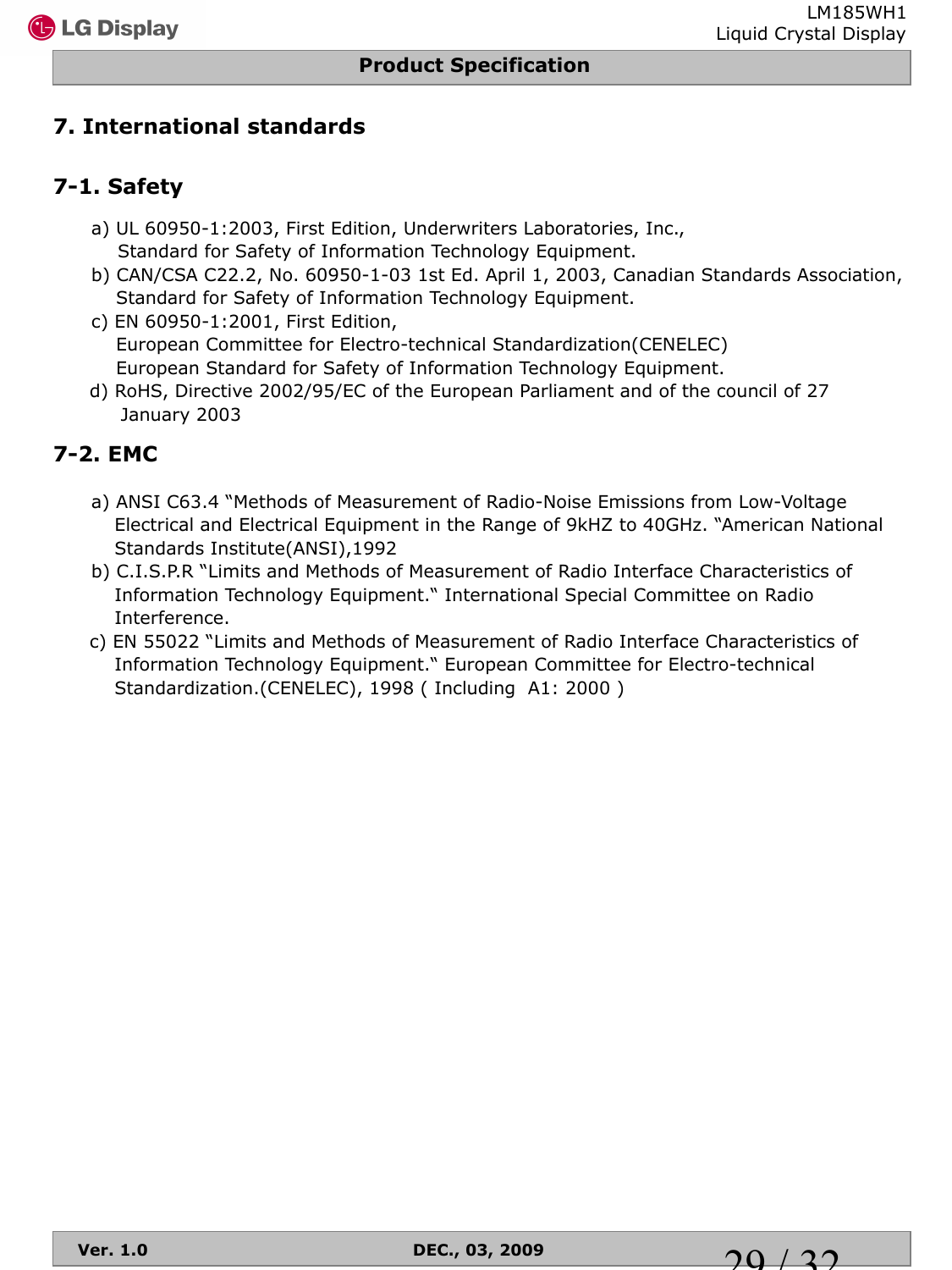# **7. International standards**

# **7-1. Safety**

- a) UL 60950-1:2003, First Edition, Underwriters Laboratories, Inc., Standard for Safety of Information Technology Equipment.
- b) CAN/CSA C22.2, No. 60950-1-03 1st Ed. April 1, 2003, Canadian Standards Association, Standard for Safety of Information Technology Equipment.
- c) EN 60950-1:2001, First Edition, European Committee for Electro-technical Standardization(CENELEC) European Standard for Safety of Information Technology Equipment.
- d) RoHS, Directive 2002/95/EC of the European Parliament and of the council of 27 January 2003

# **7-2. EMC**

- a) ANSI C63.4 "Methods of Measurement of Radio-Noise Emissions from Low-Voltage Electrical and Electrical Equipment in the Range of 9kHZ to 40GHz. "American National Standards Institute(ANSI),1992
- b) C.I.S.P.R "Limits and Methods of Measurement of Radio Interface Characteristics of Information Technology Equipment." International Special Committee on Radio Interference.
- c) EN 55022 "Limits and Methods of Measurement of Radio Interface Characteristics of Information Technology Equipment." European Committee for Electro-technical Standardization.(CENELEC), 1998 ( Including A1: 2000 )

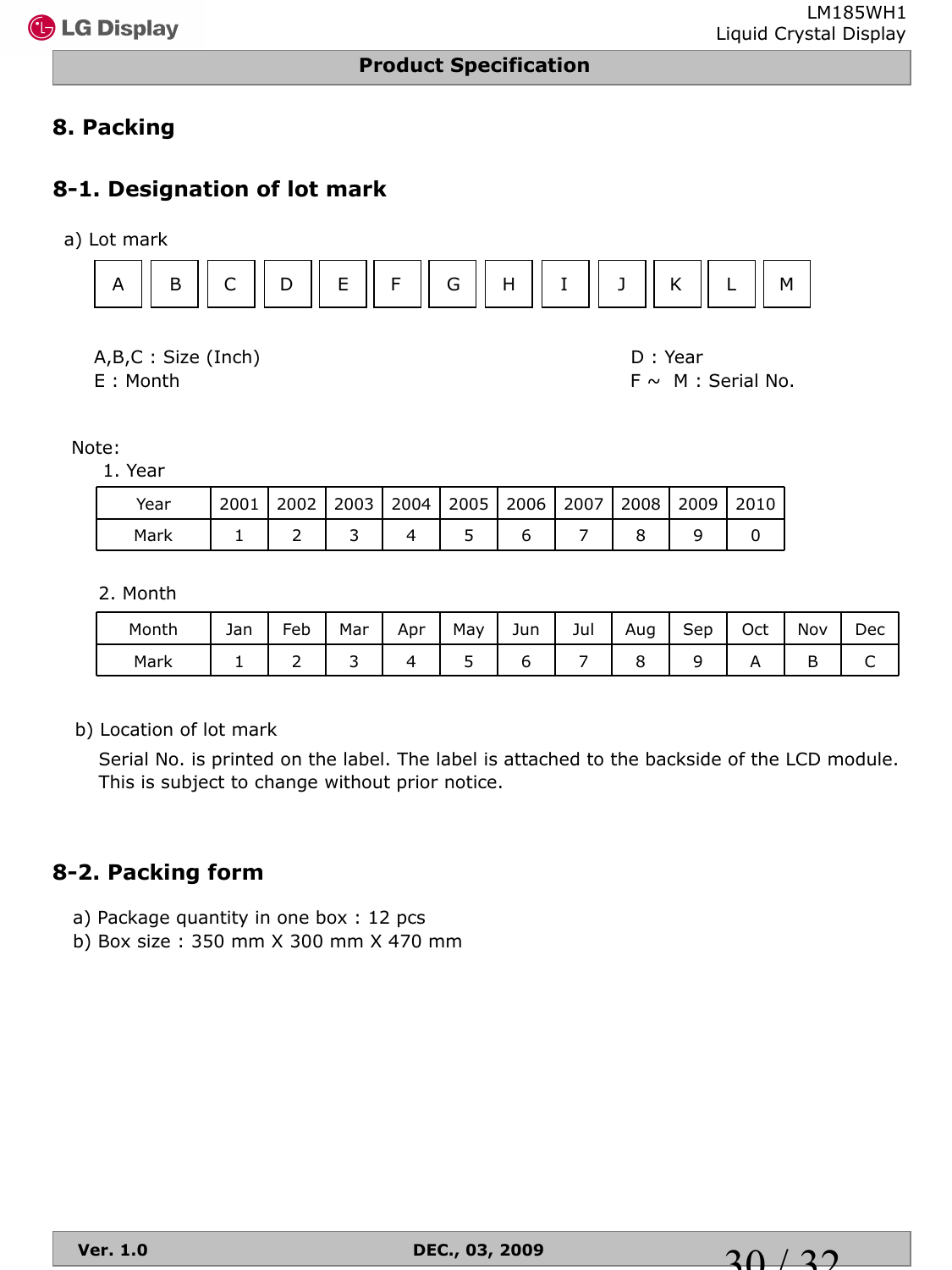

## **8. Packing**

## **8-1. Designation of lot mark**

a) Lot mark



A,B,C : Size (Inch) D : Year

 $E :$  Month F  $\sim$  M : Serial No.

Note:

1. Year

| Year | 2001 |  |  | 2002   2003   2004   2005   2006   2007   2008   2009   2010 |  |  |
|------|------|--|--|--------------------------------------------------------------|--|--|
| Mark |      |  |  |                                                              |  |  |

2. Month

| Month | Jan | -<br>-eb | Mar | Apr | May | Jun | Jul | Aug<br>ັ | $\sim$<br>Sep | Oct | Nov | Dec |
|-------|-----|----------|-----|-----|-----|-----|-----|----------|---------------|-----|-----|-----|
| Mark  | -   | -        |     |     | ۰   |     |     | ◡        |               |     | ້   | ֊   |

b) Location of lot mark

Serial No. is printed on the label. The label is attached to the backside of the LCD module. This is subject to change without prior notice.

#### **8-2. Packing form**

- a) Package quantity in one box : 12 pcs
- b) Box size : 350 mm X 300 mm X 470 mm

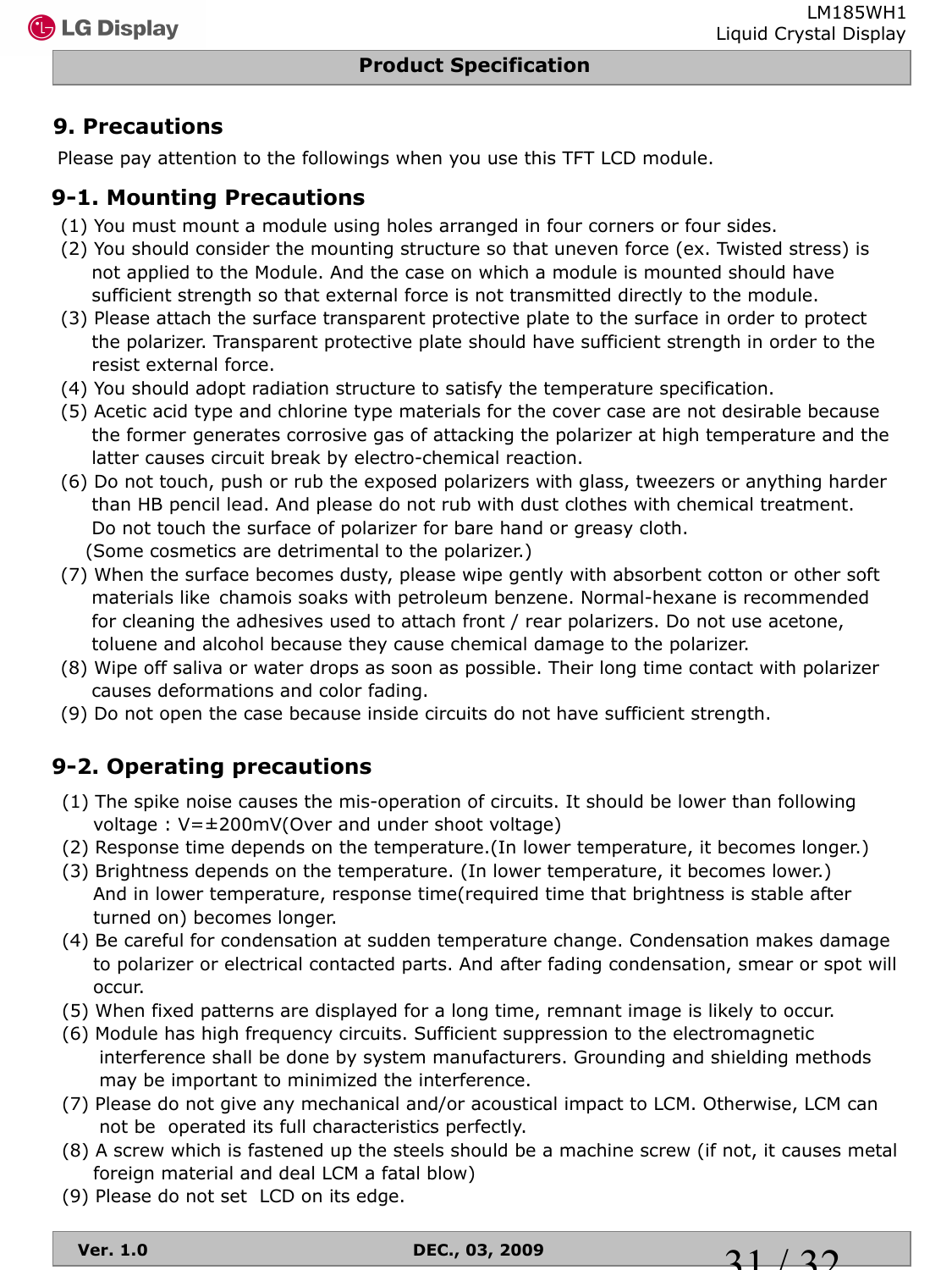LM185WH1

## **9. Precautions**

Please pay attention to the followings when you use this TFT LCD module.

## **9-1. Mounting Precautions**

- (1) You must mount a module using holes arranged in four corners or four sides.
- (2) You should consider the mounting structure so that uneven force (ex. Twisted stress) is not applied to the Module. And the case on which a module is mounted should have sufficient strength so that external force is not transmitted directly to the module.
- (3) Please attach the surface transparent protective plate to the surface in order to protect the polarizer. Transparent protective plate should have sufficient strength in order to the resist external force.
- (4) You should adopt radiation structure to satisfy the temperature specification.
- (5) Acetic acid type and chlorine type materials for the cover case are not desirable because the former generates corrosive gas of attacking the polarizer at high temperature and the latter causes circuit break by electro-chemical reaction.
- (6) Do not touch, push or rub the exposed polarizers with glass, tweezers or anything harder than HB pencil lead. And please do not rub with dust clothes with chemical treatment. Do not touch the surface of polarizer for bare hand or greasy cloth. (Some cosmetics are detrimental to the polarizer.)
- (7) When the surface becomes dusty, please wipe gently with absorbent cotton or other soft materials like chamois soaks with petroleum benzene. Normal-hexane is recommended for cleaning the adhesives used to attach front / rear polarizers. Do not use acetone, toluene and alcohol because they cause chemical damage to the polarizer.
- (8) Wipe off saliva or water drops as soon as possible. Their long time contact with polarizer causes deformations and color fading.
- (9) Do not open the case because inside circuits do not have sufficient strength.

## **9-2. Operating precautions**

- (1) The spike noise causes the mis-operation of circuits. It should be lower than following voltage : V=±200mV(Over and under shoot voltage)
- (2) Response time depends on the temperature.(In lower temperature, it becomes longer.)
- (3) Brightness depends on the temperature. (In lower temperature, it becomes lower.) And in lower temperature, response time(required time that brightness is stable after turned on) becomes longer.
- (4) Be careful for condensation at sudden temperature change. Condensation makes damage to polarizer or electrical contacted parts. And after fading condensation, smear or spot will occur.
- (5) When fixed patterns are displayed for a long time, remnant image is likely to occur.
- (6) Module has high frequency circuits. Sufficient suppression to the electromagnetic interference shall be done by system manufacturers. Grounding and shielding methods may be important to minimized the interference.
- (7) Please do not give any mechanical and/or acoustical impact to LCM. Otherwise, LCM can not be operated its full characteristics perfectly.
- (8) A screw which is fastened up the steels should be a machine screw (if not, it causes metal foreign material and deal LCM a fatal blow)
- (9) Please do not set LCD on its edge.